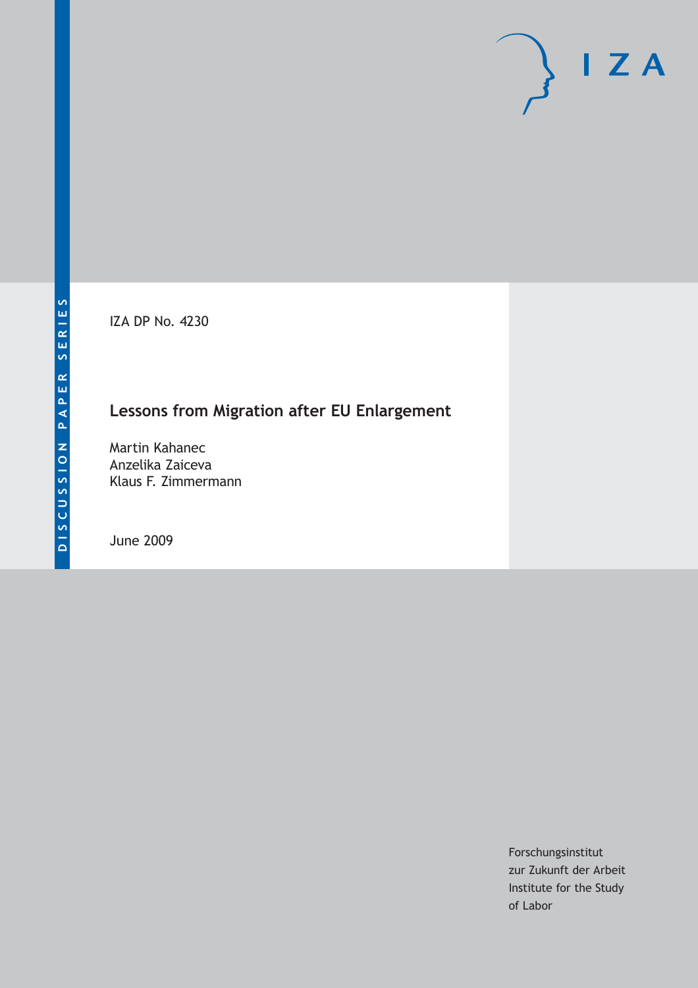IZA DP No. 4230

## **Lessons from Migration after EU Enlargement**

Martin Kahanec Anzelika Zaiceva Klaus F. Zimmermann

June 2009

Forschungsinstitut zur Zukunft der Arbeit Institute for the Study of Labor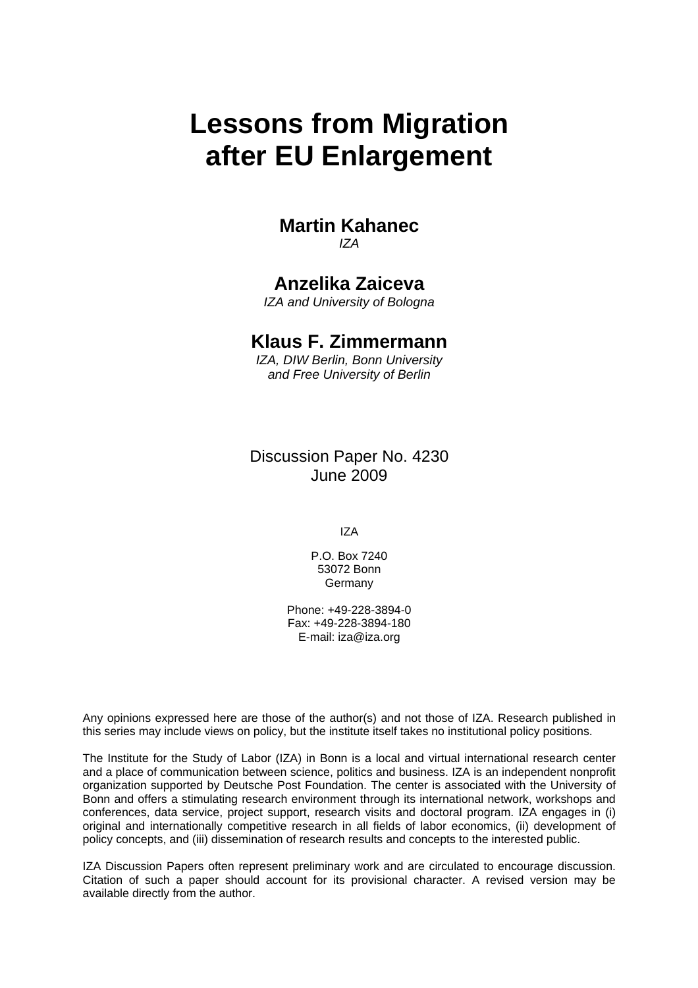# **Lessons from Migration after EU Enlargement**

## **Martin Kahanec**  *IZA*

## **Anzelika Zaiceva**

*IZA and University of Bologna* 

## **Klaus F. Zimmermann**

*IZA, DIW Berlin, Bonn University and Free University of Berlin* 

Discussion Paper No. 4230 June 2009

IZA

P.O. Box 7240 53072 Bonn **Germany** 

Phone: +49-228-3894-0 Fax: +49-228-3894-180 E-mail: [iza@iza.org](mailto:iza@iza.org)

Any opinions expressed here are those of the author(s) and not those of IZA. Research published in this series may include views on policy, but the institute itself takes no institutional policy positions.

The Institute for the Study of Labor (IZA) in Bonn is a local and virtual international research center and a place of communication between science, politics and business. IZA is an independent nonprofit organization supported by Deutsche Post Foundation. The center is associated with the University of Bonn and offers a stimulating research environment through its international network, workshops and conferences, data service, project support, research visits and doctoral program. IZA engages in (i) original and internationally competitive research in all fields of labor economics, (ii) development of policy concepts, and (iii) dissemination of research results and concepts to the interested public.

IZA Discussion Papers often represent preliminary work and are circulated to encourage discussion. Citation of such a paper should account for its provisional character. A revised version may be available directly from the author.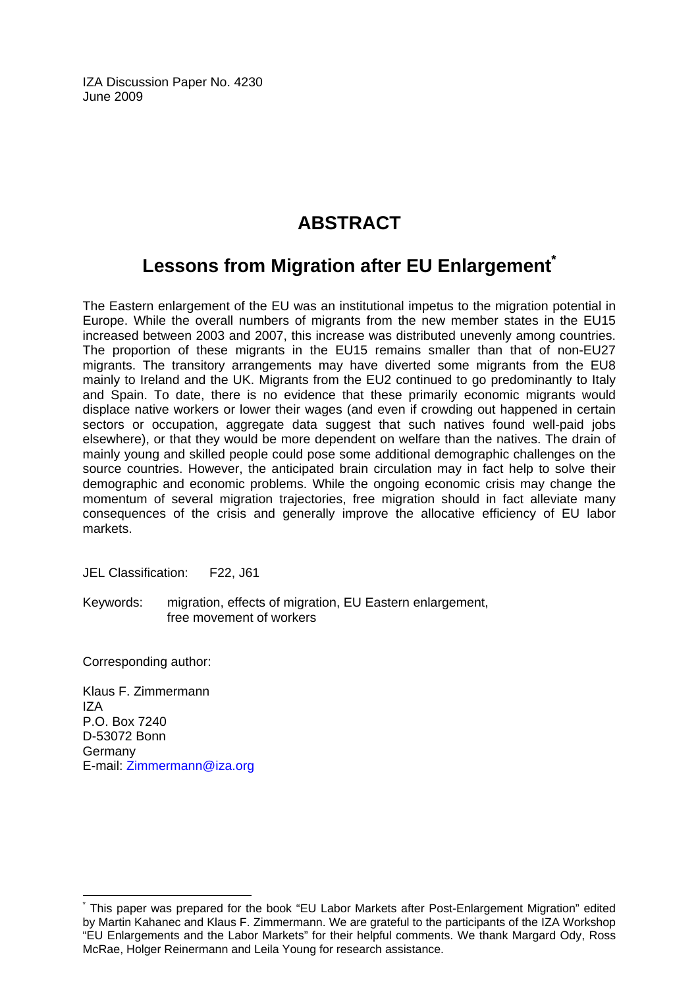IZA Discussion Paper No. 4230 June 2009

## **ABSTRACT**

## **Lessons from Migration after EU Enlargement<sup>®</sup>**

The Eastern enlargement of the EU was an institutional impetus to the migration potential in Europe. While the overall numbers of migrants from the new member states in the EU15 increased between 2003 and 2007, this increase was distributed unevenly among countries. The proportion of these migrants in the EU15 remains smaller than that of non-EU27 migrants. The transitory arrangements may have diverted some migrants from the EU8 mainly to Ireland and the UK. Migrants from the EU2 continued to go predominantly to Italy and Spain. To date, there is no evidence that these primarily economic migrants would displace native workers or lower their wages (and even if crowding out happened in certain sectors or occupation, aggregate data suggest that such natives found well-paid jobs elsewhere), or that they would be more dependent on welfare than the natives. The drain of mainly young and skilled people could pose some additional demographic challenges on the source countries. However, the anticipated brain circulation may in fact help to solve their demographic and economic problems. While the ongoing economic crisis may change the momentum of several migration trajectories, free migration should in fact alleviate many consequences of the crisis and generally improve the allocative efficiency of EU labor markets.

JEL Classification: F22, J61

Keywords: migration, effects of migration, EU Eastern enlargement, free movement of workers

Corresponding author:

 $\overline{a}$ 

Klaus F. Zimmermann IZA P.O. Box 7240 D-53072 Bonn Germany E-mail: [Zimmermann@iza.org](mailto:Zimmermann@iza.org) 

<span id="page-2-0"></span><sup>\*</sup> This paper was prepared for the book "EU Labor Markets after Post-Enlargement Migration" edited by Martin Kahanec and Klaus F. Zimmermann. We are grateful to the participants of the IZA Workshop "EU Enlargements and the Labor Markets" for their helpful comments. We thank Margard Ody, Ross McRae, Holger Reinermann and Leila Young for research assistance.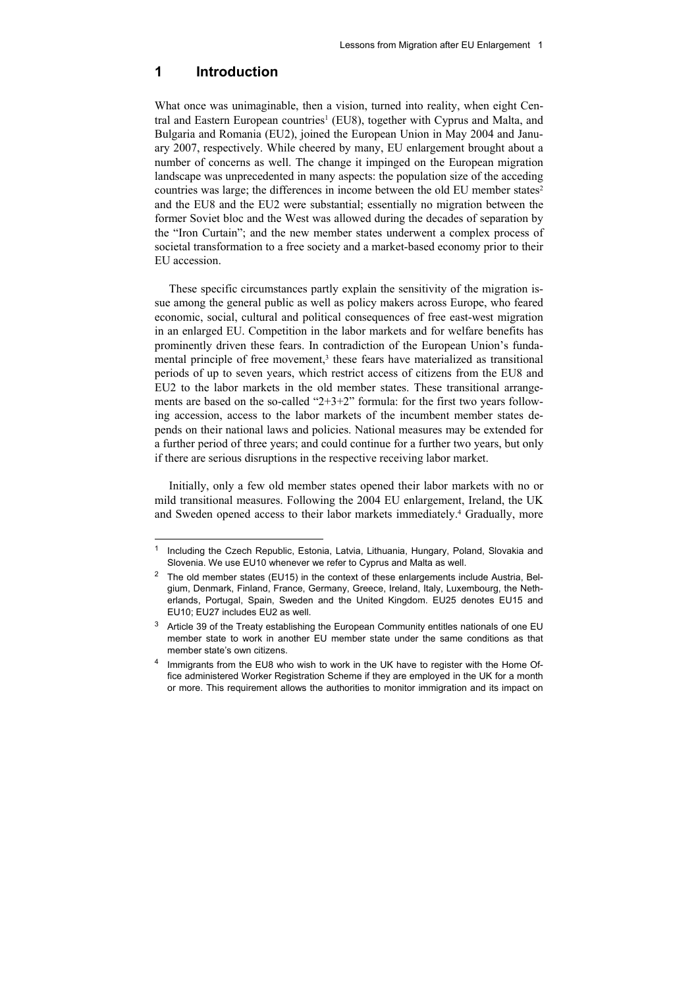### **1 Introduction**

l

What once was unimaginable, then a vision, turned into reality, when eight Central and Eastern European countries<sup>1</sup> (EU8), together with Cyprus and Malta, and Bulgaria and Romania (EU2), joined the European Union in May 2004 and January 2007, respectively. While cheered by many, EU enlargement brought about a number of concerns as well. The change it impinged on the European migration landscape was unprecedented in many aspects: the population size of the acceding countries was large; the differences in income between the old EU member states<sup>2</sup> and the EU8 and the EU2 were substantial; essentially no migration between the former Soviet bloc and the West was allowed during the decades of separation by the "Iron Curtain"; and the new member states underwent a complex process of societal transformation to a free society and a market-based economy prior to their EU accession.

These specific circumstances partly explain the sensitivity of the migration issue among the general public as well as policy makers across Europe, who feared economic, social, cultural and political consequences of free east-west migration in an enlarged EU. Competition in the labor markets and for welfare benefits has prominently driven these fears. In contradiction of the European Union's fundamental principle of free movement,<sup>3</sup> these fears have materialized as transitional periods of up to seven years, which restrict access of citizens from the EU8 and EU2 to the labor markets in the old member states. These transitional arrangements are based on the so-called "2+3+2" formula: for the first two years following accession, access to the labor markets of the incumbent member states depends on their national laws and policies. National measures may be extended for a further period of three years; and could continue for a further two years, but only if there are serious disruptions in the respective receiving labor market.

Initially, only a few old member states opened their labor markets with no or mild transitional measures. Following the 2004 EU enlargement, Ireland, the UK and Sweden opened access to their labor markets immediately.<sup>4</sup> Gradually, more

<sup>1</sup> Including the Czech Republic, Estonia, Latvia, Lithuania, Hungary, Poland, Slovakia and Slovenia. We use EU10 whenever we refer to Cyprus and Malta as well.

<sup>&</sup>lt;sup>2</sup> The old member states (EU15) in the context of these enlargements include Austria, Belgium, Denmark, Finland, France, Germany, Greece, Ireland, Italy, Luxembourg, the Netherlands, Portugal, Spain, Sweden and the United Kingdom. EU25 denotes EU15 and EU10; EU27 includes EU2 as well.

<sup>&</sup>lt;sup>3</sup> Article 39 of the Treaty establishing the European Community entitles nationals of one EU member state to work in another EU member state under the same conditions as that member state's own citizens.

<sup>4</sup> Immigrants from the EU8 who wish to work in the UK have to register with the Home Office administered Worker Registration Scheme if they are employed in the UK for a month or more. This requirement allows the authorities to monitor immigration and its impact on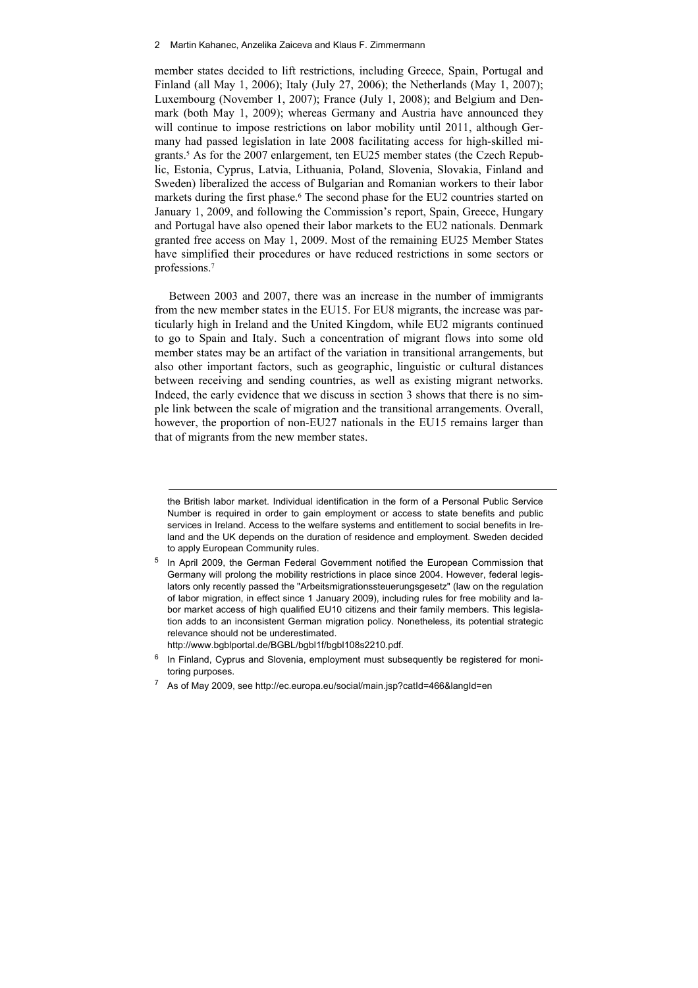member states decided to lift restrictions, including Greece, Spain, Portugal and Finland (all May 1, 2006); Italy (July 27, 2006); the Netherlands (May 1, 2007); Luxembourg (November 1, 2007); France (July 1, 2008); and Belgium and Denmark (both May 1, 2009); whereas Germany and Austria have announced they will continue to impose restrictions on labor mobility until 2011, although Germany had passed legislation in late 2008 facilitating access for high-skilled migrants.<sup>5</sup> As for the 2007 enlargement, ten EU25 member states (the Czech Republic, Estonia, Cyprus, Latvia, Lithuania, Poland, Slovenia, Slovakia, Finland and Sweden) liberalized the access of Bulgarian and Romanian workers to their labor markets during the first phase.<sup>6</sup> The second phase for the EU2 countries started on January 1, 2009, and following the Commission's report, Spain, Greece, Hungary and Portugal have also opened their labor markets to the EU2 nationals. Denmark granted free access on May 1, 2009. Most of the remaining EU25 Member States have simplified their procedures or have reduced restrictions in some sectors or professions.7

Between 2003 and 2007, there was an increase in the number of immigrants from the new member states in the EU15. For EU8 migrants, the increase was particularly high in Ireland and the United Kingdom, while EU2 migrants continued to go to Spain and Italy. Such a concentration of migrant flows into some old member states may be an artifact of the variation in transitional arrangements, but also other important factors, such as geographic, linguistic or cultural distances between receiving and sending countries, as well as existing migrant networks. Indeed, the early evidence that we discuss in section 3 shows that there is no simple link between the scale of migration and the transitional arrangements. Overall, however, the proportion of non-EU27 nationals in the EU15 remains larger than that of migrants from the new member states.

the British labor market. Individual identification in the form of a Personal Public Service Number is required in order to gain employment or access to state benefits and public services in Ireland. Access to the welfare systems and entitlement to social benefits in Ireland and the UK depends on the duration of residence and employment. Sweden decided to apply European Community rules.

<sup>5</sup> In April 2009, the German Federal Government notified the European Commission that Germany will prolong the mobility restrictions in place since 2004. However, federal legislators only recently passed the "Arbeitsmigrationssteuerungsgesetz" (law on the regulation of labor migration, in effect since 1 January 2009), including rules for free mobility and labor market access of high qualified EU10 citizens and their family members. This legislation adds to an inconsistent German migration policy. Nonetheless, its potential strategic relevance should not be underestimated.

http://www.bgblportal.de/BGBL/bgbl1f/bgbl108s2210.pdf.

In Finland, Cyprus and Slovenia, employment must subsequently be registered for monitoring purposes.

<sup>7</sup> As of May 2009, see http://ec.europa.eu/social/main.jsp?catId=466&langId=en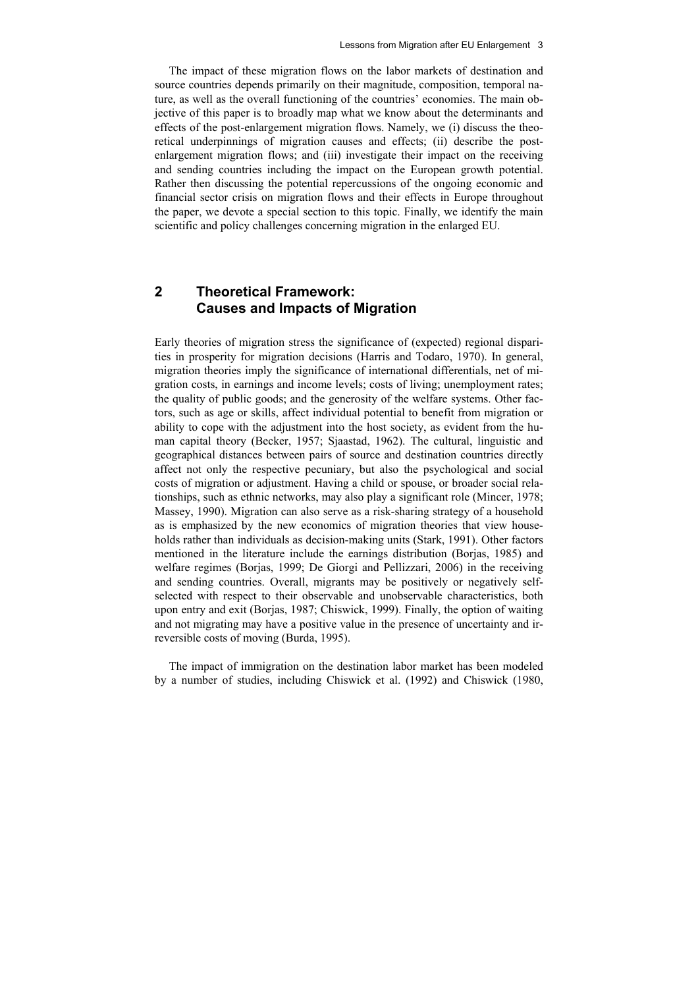The impact of these migration flows on the labor markets of destination and source countries depends primarily on their magnitude, composition, temporal nature, as well as the overall functioning of the countries' economies. The main objective of this paper is to broadly map what we know about the determinants and effects of the post-enlargement migration flows. Namely, we (i) discuss the theoretical underpinnings of migration causes and effects; (ii) describe the postenlargement migration flows; and (iii) investigate their impact on the receiving and sending countries including the impact on the European growth potential. Rather then discussing the potential repercussions of the ongoing economic and financial sector crisis on migration flows and their effects in Europe throughout the paper, we devote a special section to this topic. Finally, we identify the main scientific and policy challenges concerning migration in the enlarged EU.

## **2 Theoretical Framework: Causes and Impacts of Migration**

Early theories of migration stress the significance of (expected) regional disparities in prosperity for migration decisions (Harris and Todaro, 1970). In general, migration theories imply the significance of international differentials, net of migration costs, in earnings and income levels; costs of living; unemployment rates; the quality of public goods; and the generosity of the welfare systems. Other factors, such as age or skills, affect individual potential to benefit from migration or ability to cope with the adjustment into the host society, as evident from the human capital theory (Becker, 1957; Sjaastad, 1962). The cultural, linguistic and geographical distances between pairs of source and destination countries directly affect not only the respective pecuniary, but also the psychological and social costs of migration or adjustment. Having a child or spouse, or broader social relationships, such as ethnic networks, may also play a significant role (Mincer, 1978; Massey, 1990). Migration can also serve as a risk-sharing strategy of a household as is emphasized by the new economics of migration theories that view households rather than individuals as decision-making units (Stark, 1991). Other factors mentioned in the literature include the earnings distribution (Borjas, 1985) and welfare regimes (Borjas, 1999; De Giorgi and Pellizzari, 2006) in the receiving and sending countries. Overall, migrants may be positively or negatively selfselected with respect to their observable and unobservable characteristics, both upon entry and exit (Borjas, 1987; Chiswick, 1999). Finally, the option of waiting and not migrating may have a positive value in the presence of uncertainty and irreversible costs of moving (Burda, 1995).

The impact of immigration on the destination labor market has been modeled by a number of studies, including Chiswick et al. (1992) and Chiswick (1980,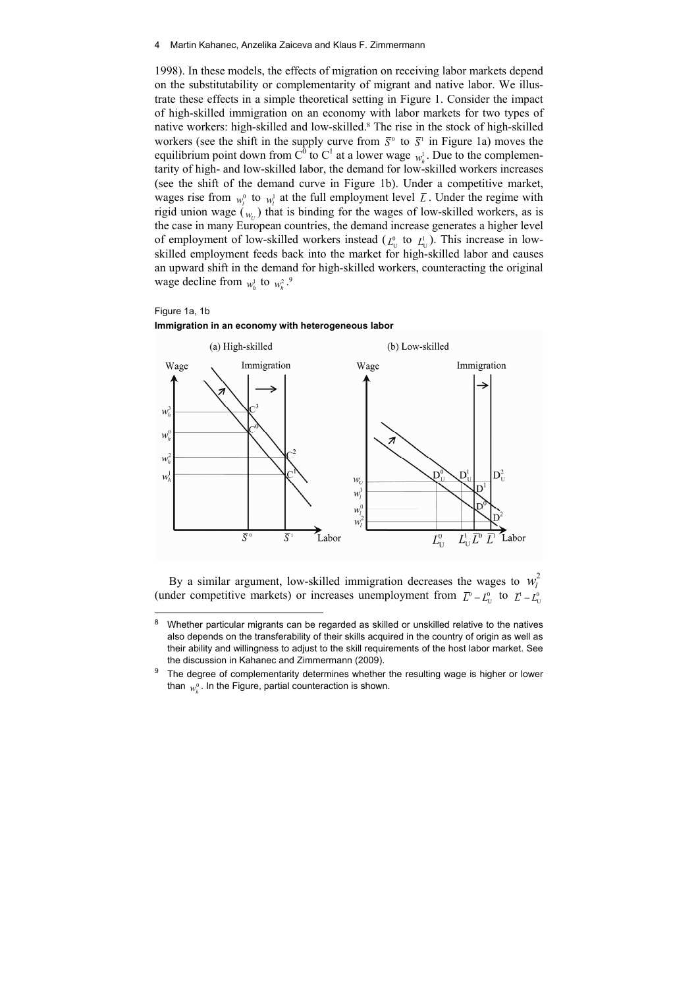1998). In these models, the effects of migration on receiving labor markets depend on the substitutability or complementarity of migrant and native labor. We illustrate these effects in a simple theoretical setting in Figure 1. Consider the impact of high-skilled immigration on an economy with labor markets for two types of native workers: high-skilled and low-skilled.8 The rise in the stock of high-skilled workers (see the shift in the supply curve from  $\bar{S}^0$  to  $\bar{S}^1$  in Figure 1a) moves the equilibrium point down from  $C^0$  to  $C^1$  at a lower wage  $w_h^1$ . Due to the complementarity of high- and low-skilled labor, the demand for low-skilled workers increases (see the shift of the demand curve in Figure 1b). Under a competitive market, wages rise from  $w_l^0$  to  $w_l^1$  at the full employment level  $\overline{L}$ . Under the regime with rigid union wage  $(\psi_{\nu}$ ) that is binding for the wages of low-skilled workers, as is the case in many European countries, the demand increase generates a higher level of employment of low-skilled workers instead  $(L_{\text{U}}^0$  to  $L_{\text{U}}^1$ ). This increase in lowskilled employment feeds back into the market for high-skilled labor and causes an upward shift in the demand for high-skilled workers, counteracting the original wage decline from  $w_h^1$  to  $w_h^2$ .<sup>9</sup>

#### Figure 1a, 1b **Immigration in an economy with heterogeneous labor**

l



By a similar argument, low-skilled immigration decreases the wages to  $w_l^2$ (under competitive markets) or increases unemployment from  $\bar{L}^0 - L_{\text{tr}}^0$  to  $\bar{L} - L_{\text{tr}}^0$ 

<sup>&</sup>lt;sup>8</sup> Whether particular migrants can be regarded as skilled or unskilled relative to the natives also depends on the transferability of their skills acquired in the country of origin as well as their ability and willingness to adjust to the skill requirements of the host labor market. See the discussion in Kahanec and Zimmermann (2009).

<sup>&</sup>lt;sup>9</sup> The degree of complementarity determines whether the resulting wage is higher or lower than  $w_k^0$ . In the Figure, partial counteraction is shown.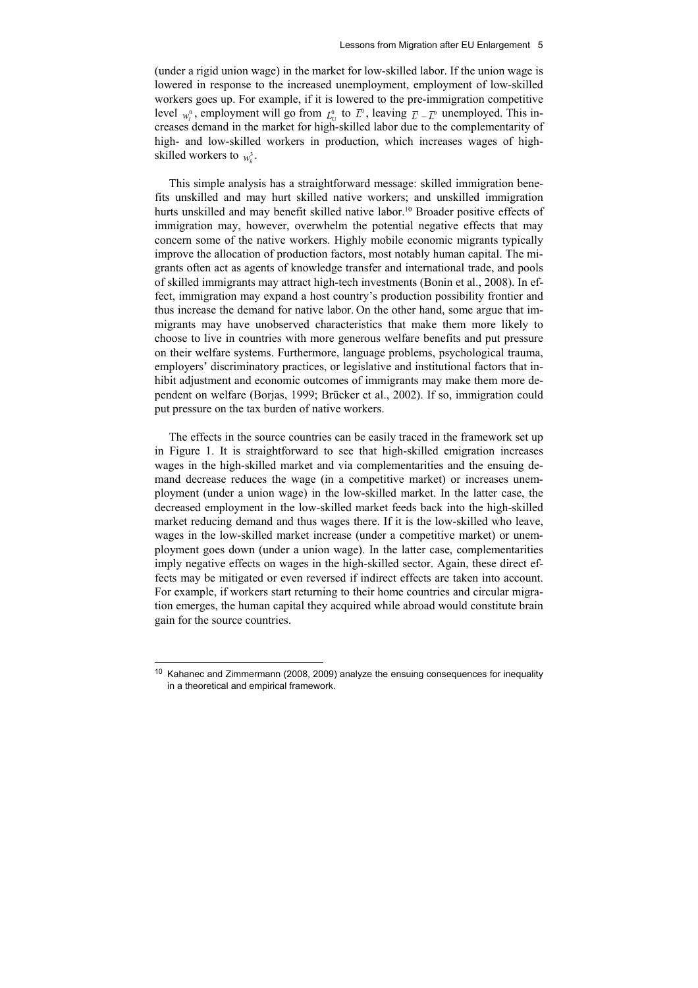(under a rigid union wage) in the market for low-skilled labor. If the union wage is lowered in response to the increased unemployment, employment of low-skilled workers goes up. For example, if it is lowered to the pre-immigration competitive level  $w_i^0$ , employment will go from  $L^0$  to  $\bar{L}^0$ , leaving  $\bar{L} - \bar{L}^0$  unemployed. This increases demand in the market for high-skilled labor due to the complementarity of high- and low-skilled workers in production, which increases wages of highskilled workers to  $w_i^3$ .

This simple analysis has a straightforward message: skilled immigration benefits unskilled and may hurt skilled native workers; and unskilled immigration hurts unskilled and may benefit skilled native labor.<sup>10</sup> Broader positive effects of immigration may, however, overwhelm the potential negative effects that may concern some of the native workers. Highly mobile economic migrants typically improve the allocation of production factors, most notably human capital. The migrants often act as agents of knowledge transfer and international trade, and pools of skilled immigrants may attract high-tech investments (Bonin et al., 2008). In effect, immigration may expand a host country's production possibility frontier and thus increase the demand for native labor. On the other hand, some argue that immigrants may have unobserved characteristics that make them more likely to choose to live in countries with more generous welfare benefits and put pressure on their welfare systems. Furthermore, language problems, psychological trauma, employers' discriminatory practices, or legislative and institutional factors that inhibit adjustment and economic outcomes of immigrants may make them more dependent on welfare (Borjas, 1999; Brücker et al., 2002). If so, immigration could put pressure on the tax burden of native workers.

The effects in the source countries can be easily traced in the framework set up in Figure 1. It is straightforward to see that high-skilled emigration increases wages in the high-skilled market and via complementarities and the ensuing demand decrease reduces the wage (in a competitive market) or increases unemployment (under a union wage) in the low-skilled market. In the latter case, the decreased employment in the low-skilled market feeds back into the high-skilled market reducing demand and thus wages there. If it is the low-skilled who leave, wages in the low-skilled market increase (under a competitive market) or unemployment goes down (under a union wage). In the latter case, complementarities imply negative effects on wages in the high-skilled sector. Again, these direct effects may be mitigated or even reversed if indirect effects are taken into account. For example, if workers start returning to their home countries and circular migration emerges, the human capital they acquired while abroad would constitute brain gain for the source countries.

<sup>&</sup>lt;sup>10</sup> Kahanec and Zimmermann (2008, 2009) analyze the ensuing consequences for inequality in a theoretical and empirical framework.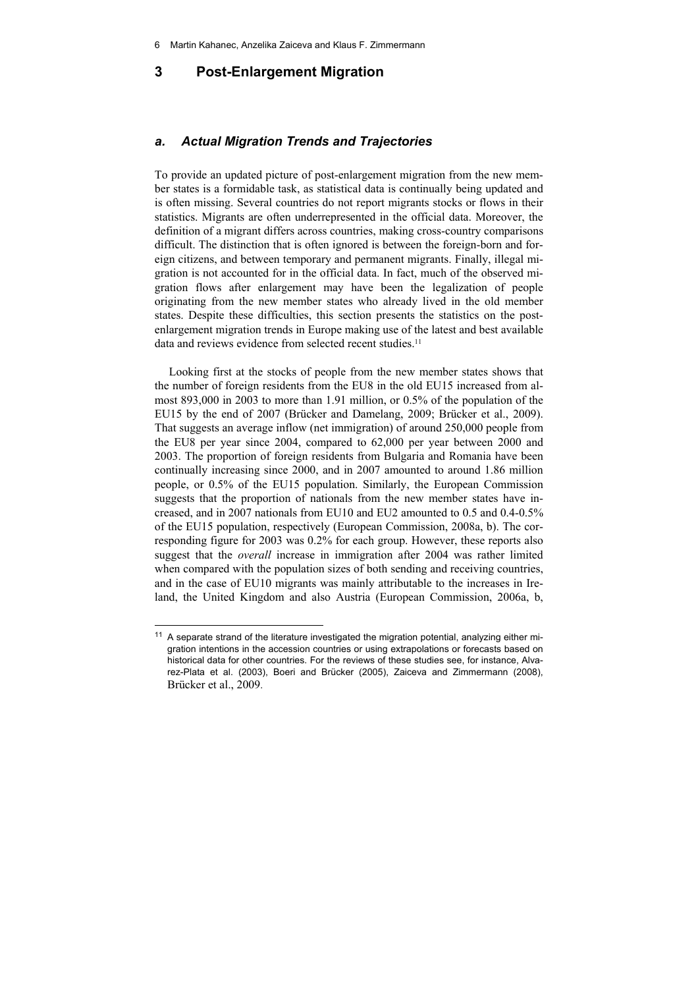### **3 Post-Enlargement Migration**

#### *a. Actual Migration Trends and Trajectories*

To provide an updated picture of post-enlargement migration from the new member states is a formidable task, as statistical data is continually being updated and is often missing. Several countries do not report migrants stocks or flows in their statistics. Migrants are often underrepresented in the official data. Moreover, the definition of a migrant differs across countries, making cross-country comparisons difficult. The distinction that is often ignored is between the foreign-born and foreign citizens, and between temporary and permanent migrants. Finally, illegal migration is not accounted for in the official data. In fact, much of the observed migration flows after enlargement may have been the legalization of people originating from the new member states who already lived in the old member states. Despite these difficulties, this section presents the statistics on the postenlargement migration trends in Europe making use of the latest and best available data and reviews evidence from selected recent studies.<sup>11</sup>

Looking first at the stocks of people from the new member states shows that the number of foreign residents from the EU8 in the old EU15 increased from almost 893,000 in 2003 to more than 1.91 million, or 0.5% of the population of the EU15 by the end of 2007 (Brücker and Damelang, 2009; Brücker et al., 2009). That suggests an average inflow (net immigration) of around 250,000 people from the EU8 per year since 2004, compared to 62,000 per year between 2000 and 2003. The proportion of foreign residents from Bulgaria and Romania have been continually increasing since 2000, and in 2007 amounted to around 1.86 million people, or 0.5% of the EU15 population. Similarly, the European Commission suggests that the proportion of nationals from the new member states have increased, and in 2007 nationals from EU10 and EU2 amounted to 0.5 and 0.4-0.5% of the EU15 population, respectively (European Commission, 2008a, b). The corresponding figure for 2003 was 0.2% for each group. However, these reports also suggest that the *overall* increase in immigration after 2004 was rather limited when compared with the population sizes of both sending and receiving countries, and in the case of EU10 migrants was mainly attributable to the increases in Ireland, the United Kingdom and also Austria (European Commission, 2006a, b,

<sup>&</sup>lt;sup>11</sup> A separate strand of the literature investigated the migration potential, analyzing either migration intentions in the accession countries or using extrapolations or forecasts based on historical data for other countries. For the reviews of these studies see, for instance, Alvarez-Plata et al. (2003), Boeri and Brücker (2005), Zaiceva and Zimmermann (2008), Brücker et al., 2009.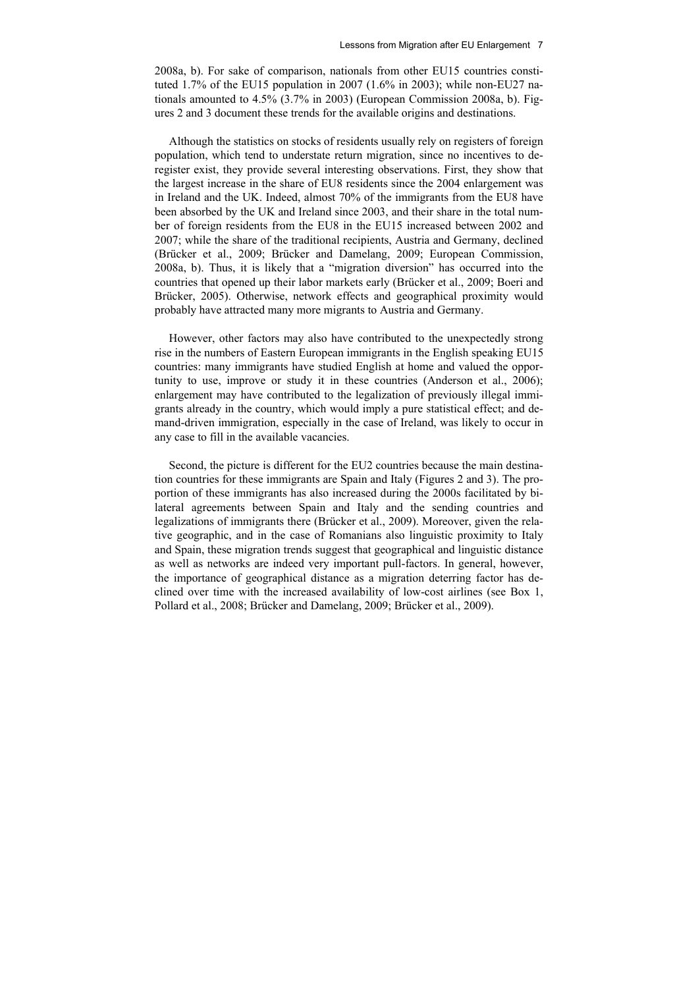2008a, b). For sake of comparison, nationals from other EU15 countries constituted 1.7% of the EU15 population in 2007 (1.6% in 2003); while non-EU27 nationals amounted to 4.5% (3.7% in 2003) (European Commission 2008a, b). Figures 2 and 3 document these trends for the available origins and destinations.

Although the statistics on stocks of residents usually rely on registers of foreign population, which tend to understate return migration, since no incentives to deregister exist, they provide several interesting observations. First, they show that the largest increase in the share of EU8 residents since the 2004 enlargement was in Ireland and the UK. Indeed, almost 70% of the immigrants from the EU8 have been absorbed by the UK and Ireland since 2003, and their share in the total number of foreign residents from the EU8 in the EU15 increased between 2002 and 2007; while the share of the traditional recipients, Austria and Germany, declined (Brücker et al., 2009; Brücker and Damelang, 2009; European Commission, 2008a, b). Thus, it is likely that a "migration diversion" has occurred into the countries that opened up their labor markets early (Brücker et al., 2009; Boeri and Brücker, 2005). Otherwise, network effects and geographical proximity would probably have attracted many more migrants to Austria and Germany.

However, other factors may also have contributed to the unexpectedly strong rise in the numbers of Eastern European immigrants in the English speaking EU15 countries: many immigrants have studied English at home and valued the opportunity to use, improve or study it in these countries (Anderson et al., 2006); enlargement may have contributed to the legalization of previously illegal immigrants already in the country, which would imply a pure statistical effect; and demand-driven immigration, especially in the case of Ireland, was likely to occur in any case to fill in the available vacancies.

Second, the picture is different for the EU2 countries because the main destination countries for these immigrants are Spain and Italy (Figures 2 and 3). The proportion of these immigrants has also increased during the 2000s facilitated by bilateral agreements between Spain and Italy and the sending countries and legalizations of immigrants there (Brücker et al., 2009). Moreover, given the relative geographic, and in the case of Romanians also linguistic proximity to Italy and Spain, these migration trends suggest that geographical and linguistic distance as well as networks are indeed very important pull-factors. In general, however, the importance of geographical distance as a migration deterring factor has declined over time with the increased availability of low-cost airlines (see Box 1, Pollard et al., 2008; Brücker and Damelang, 2009; Brücker et al., 2009).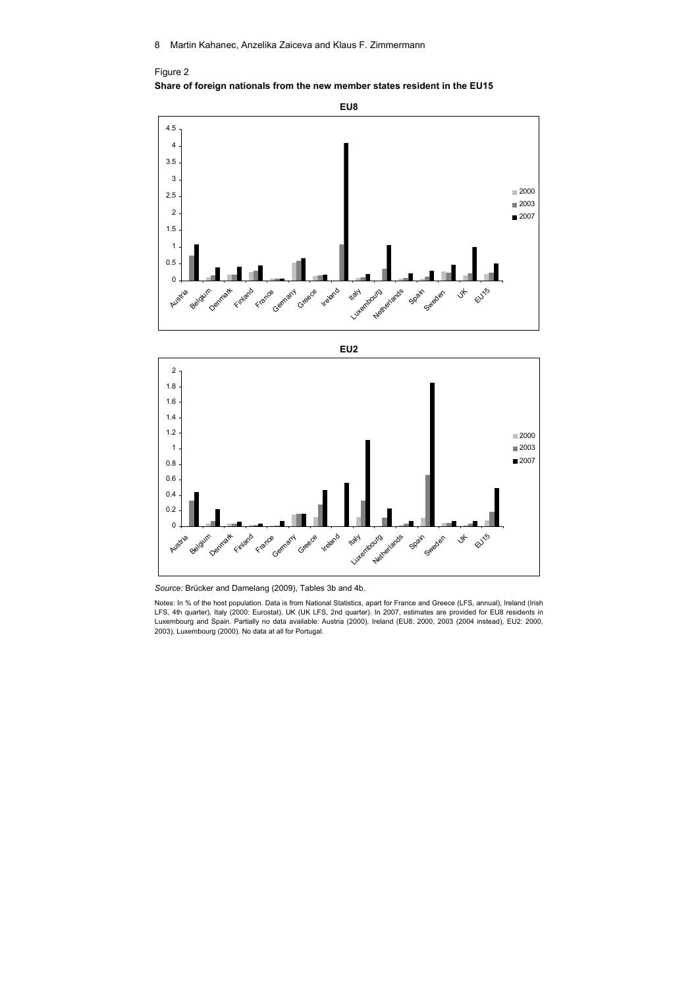







*Source:* Brücker and Damelang (2009), Tables 3b and 4b.

Notes: In % of the host population. Data is from National Statistics, apart for France and Greece (LFS, annual), Ireland (Irish LFS, 4th quarter), Italy (2000: Eurostat), UK (UK LFS, 2nd quarter). In 2007, estimates are provided for EU8 residents in Luxembourg and Spain. Partially no data available: Austria (2000), Ireland (EU8: 2000, 2003 (2004 instead), EU2: 2000, 2003), Luxembourg (2000). No data at all for Portugal.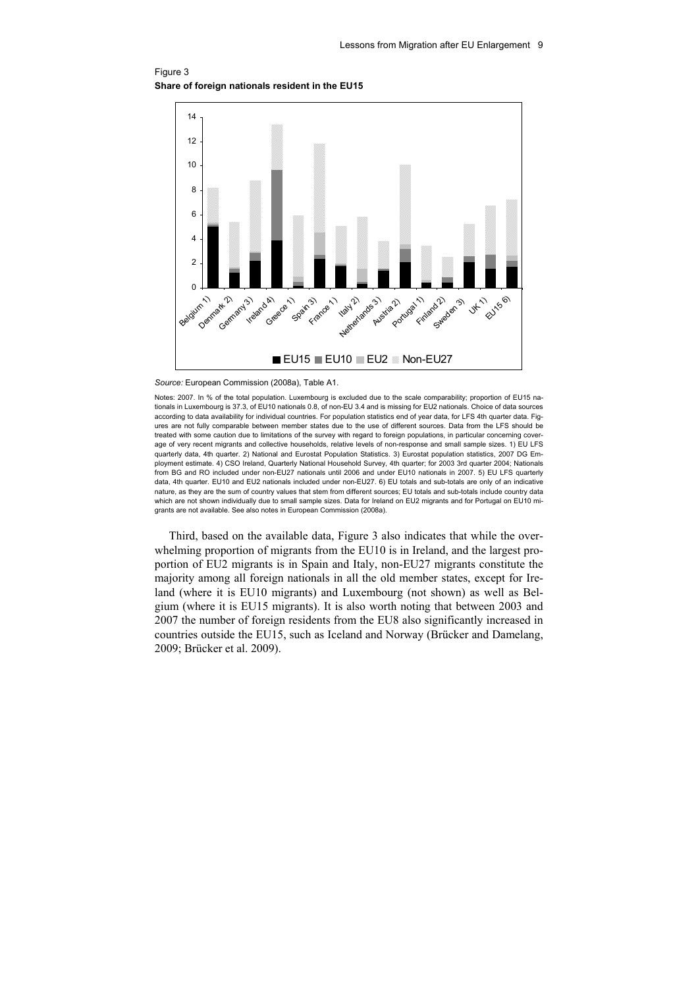#### Figure 3 **Share of foreign nationals resident in the EU15**



*Source:* European Commission (2008a), Table A1.

Notes: 2007. In % of the total population. Luxembourg is excluded due to the scale comparability; proportion of EU15 nationals in Luxembourg is 37.3, of EU10 nationals 0.8, of non-EU 3.4 and is missing for EU2 nationals. Choice of data sources according to data availability for individual countries. For population statistics end of year data, for LFS 4th quarter data. Figures are not fully comparable between member states due to the use of different sources. Data from the LFS should be treated with some caution due to limitations of the survey with regard to foreign populations, in particular concerning coverage of very recent migrants and collective households, relative levels of non-response and small sample sizes. 1) EU LFS quarterly data, 4th quarter. 2) National and Eurostat Population Statistics. 3) Eurostat population statistics, 2007 DG Employment estimate. 4) CSO Ireland, Quarterly National Household Survey, 4th quarter; for 2003 3rd quarter 2004; Nationals from BG and RO included under non-EU27 nationals until 2006 and under EU10 nationals in 2007. 5) EU LFS quarterly data, 4th quarter. EU10 and EU2 nationals included under non-EU27. 6) EU totals and sub-totals are only of an indicative nature, as they are the sum of country values that stem from different sources; EU totals and sub-totals include country data which are not shown individually due to small sample sizes. Data for Ireland on EU2 migrants and for Portugal on EU10 migrants are not available. See also notes in European Commission (2008a).

Third, based on the available data, Figure 3 also indicates that while the overwhelming proportion of migrants from the EU10 is in Ireland, and the largest proportion of EU2 migrants is in Spain and Italy, non-EU27 migrants constitute the majority among all foreign nationals in all the old member states, except for Ireland (where it is EU10 migrants) and Luxembourg (not shown) as well as Belgium (where it is EU15 migrants). It is also worth noting that between 2003 and 2007 the number of foreign residents from the EU8 also significantly increased in countries outside the EU15, such as Iceland and Norway (Brücker and Damelang, 2009; Brücker et al. 2009).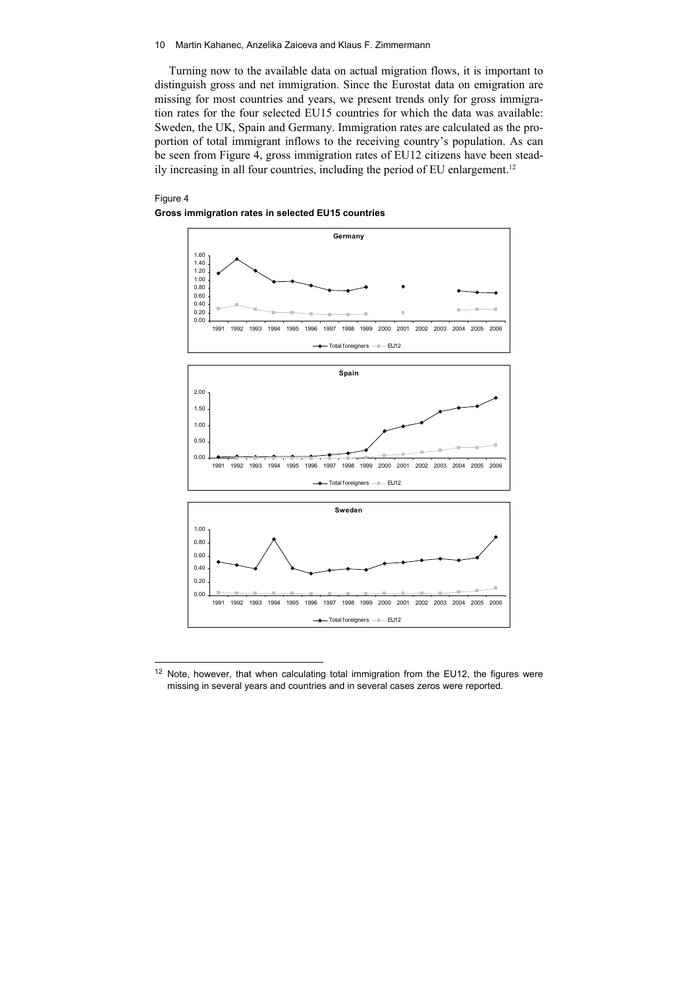Turning now to the available data on actual migration flows, it is important to distinguish gross and net immigration. Since the Eurostat data on emigration are missing for most countries and years, we present trends only for gross immigration rates for the four selected EU15 countries for which the data was available: Sweden, the UK, Spain and Germany. Immigration rates are calculated as the proportion of total immigrant inflows to the receiving country's population. As can be seen from Figure 4, gross immigration rates of EU12 citizens have been steadily increasing in all four countries, including the period of EU enlargement.<sup>12</sup>



#### Figure 4 **Gross immigration rates in selected EU15 countries**

<sup>&</sup>lt;sup>12</sup> Note, however, that when calculating total immigration from the EU12, the figures were missing in several years and countries and in several cases zeros were reported.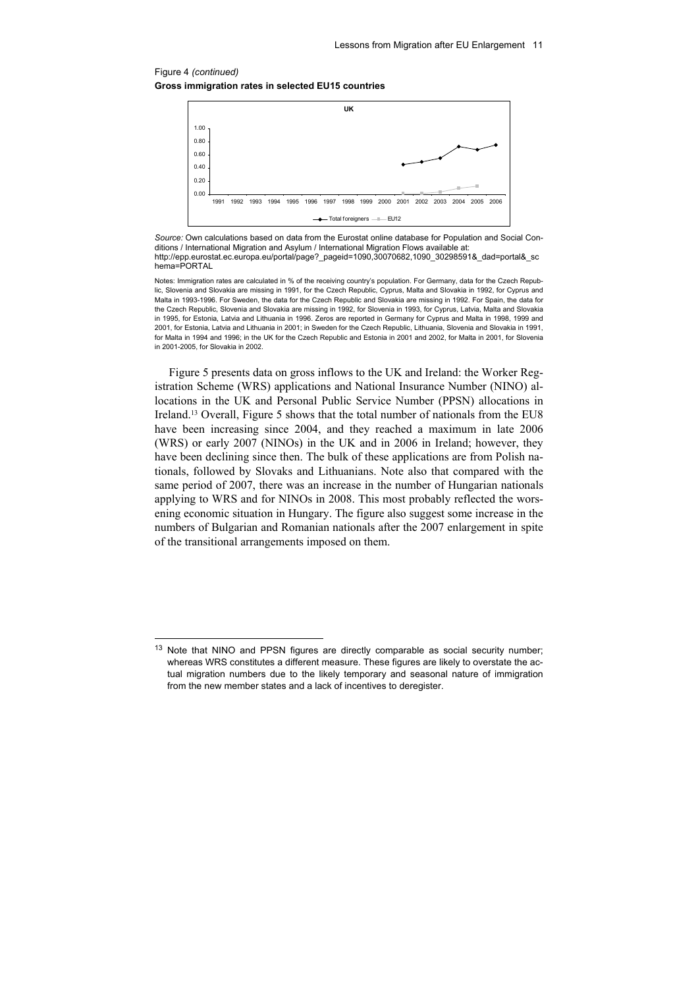#### Figure 4 *(continued)* **Gross immigration rates in selected EU15 countries**



*Source:* Own calculations based on data from the Eurostat online database for Population and Social Conditions / International Migration and Asylum / International Migration Flows available at: http://epp.eurostat.ec.europa.eu/portal/page? pageid=1090,30070682,1090\_30298591&\_dad=portal&\_sc hema=PORTAL

Notes: Immigration rates are calculated in % of the receiving country's population. For Germany, data for the Czech Republic, Slovenia and Slovakia are missing in 1991, for the Czech Republic, Cyprus, Malta and Slovakia in 1992, for Cyprus and Malta in 1993-1996. For Sweden, the data for the Czech Republic and Slovakia are missing in 1992. For Spain, the data for the Czech Republic, Slovenia and Slovakia are missing in 1992, for Slovenia in 1993, for Cyprus, Latvia, Malta and Slovakia in 1995, for Estonia, Latvia and Lithuania in 1996. Zeros are reported in Germany for Cyprus and Malta in 1998, 1999 and 2001, for Estonia, Latvia and Lithuania in 2001; in Sweden for the Czech Republic, Lithuania, Slovenia and Slovakia in 1991, for Malta in 1994 and 1996; in the UK for the Czech Republic and Estonia in 2001 and 2002, for Malta in 2001, for Slovenia in 2001-2005, for Slovakia in 2002.

Figure 5 presents data on gross inflows to the UK and Ireland: the Worker Registration Scheme (WRS) applications and National Insurance Number (NINO) allocations in the UK and Personal Public Service Number (PPSN) allocations in Ireland.13 Overall, Figure 5 shows that the total number of nationals from the EU8 have been increasing since 2004, and they reached a maximum in late 2006 (WRS) or early 2007 (NINOs) in the UK and in 2006 in Ireland; however, they have been declining since then. The bulk of these applications are from Polish nationals, followed by Slovaks and Lithuanians. Note also that compared with the same period of 2007, there was an increase in the number of Hungarian nationals applying to WRS and for NINOs in 2008. This most probably reflected the worsening economic situation in Hungary. The figure also suggest some increase in the numbers of Bulgarian and Romanian nationals after the 2007 enlargement in spite of the transitional arrangements imposed on them.

<sup>&</sup>lt;sup>13</sup> Note that NINO and PPSN figures are directly comparable as social security number; whereas WRS constitutes a different measure. These figures are likely to overstate the actual migration numbers due to the likely temporary and seasonal nature of immigration from the new member states and a lack of incentives to deregister.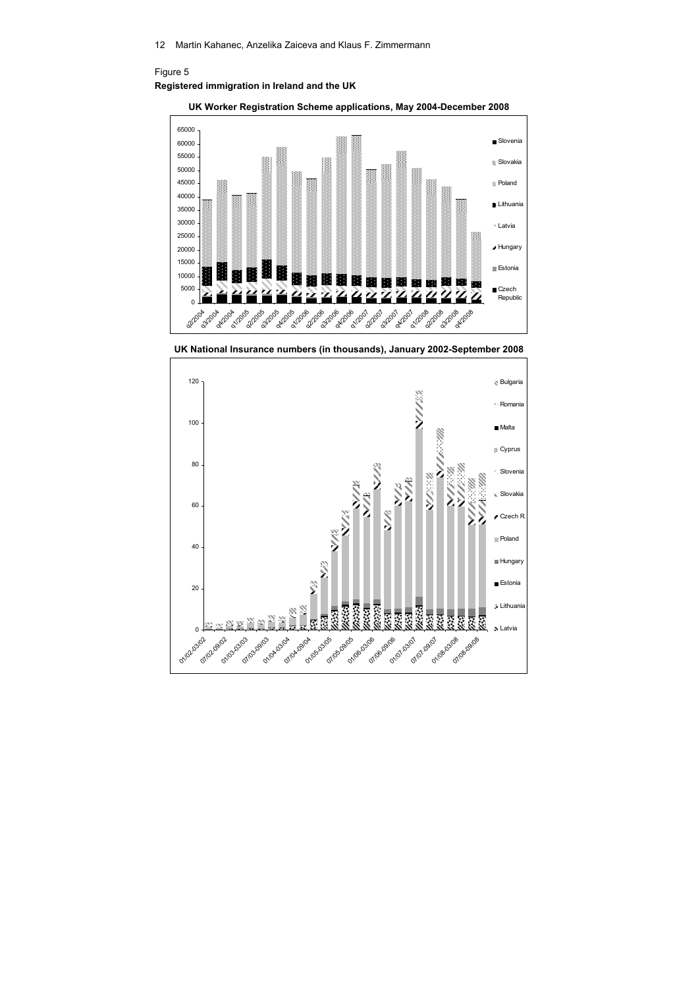#### Figure 5 **Registered immigration in Ireland and the UK**



**UK National Insurance numbers (in thousands), January 2002-September 2008** 

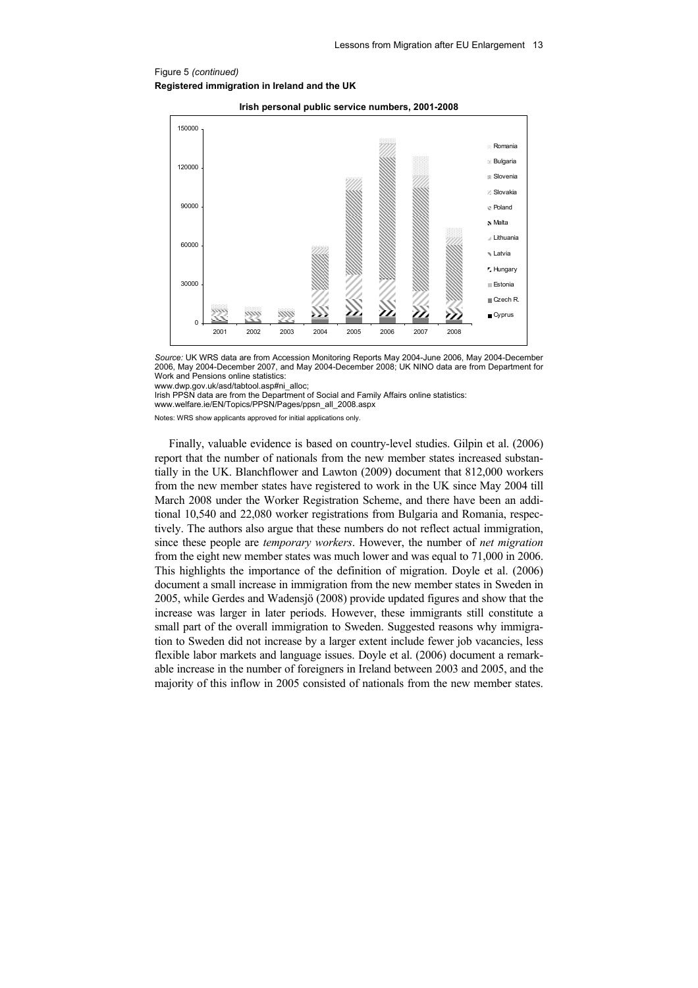#### Figure 5 *(continued)* **Registered immigration in Ireland and the UK**



*Source:* UK WRS data are from Accession Monitoring Reports May 2004-June 2006, May 2004-December 2006, May 2004-December 2007, and May 2004-December 2008; UK NINO data are from Department for Work and Pensions online statistics

www.dwp.gov.uk/asd/tabtool.asp#ni\_alloc;

Irish PPSN data are from the Department of Social and Family Affairs online statistics:

www.welfare.ie/EN/Topics/PPSN/Pages/ppsn\_all\_2008.aspx

Notes: WRS show applicants approved for initial applications only.

Finally, valuable evidence is based on country-level studies. Gilpin et al. (2006) report that the number of nationals from the new member states increased substantially in the UK. Blanchflower and Lawton (2009) document that 812,000 workers from the new member states have registered to work in the UK since May 2004 till March 2008 under the Worker Registration Scheme, and there have been an additional 10,540 and 22,080 worker registrations from Bulgaria and Romania, respectively. The authors also argue that these numbers do not reflect actual immigration, since these people are *temporary workers*. However, the number of *net migration* from the eight new member states was much lower and was equal to 71,000 in 2006. This highlights the importance of the definition of migration. Doyle et al. (2006) document a small increase in immigration from the new member states in Sweden in 2005, while Gerdes and Wadensjö (2008) provide updated figures and show that the increase was larger in later periods. However, these immigrants still constitute a small part of the overall immigration to Sweden. Suggested reasons why immigration to Sweden did not increase by a larger extent include fewer job vacancies, less flexible labor markets and language issues. Doyle et al. (2006) document a remarkable increase in the number of foreigners in Ireland between 2003 and 2005, and the majority of this inflow in 2005 consisted of nationals from the new member states.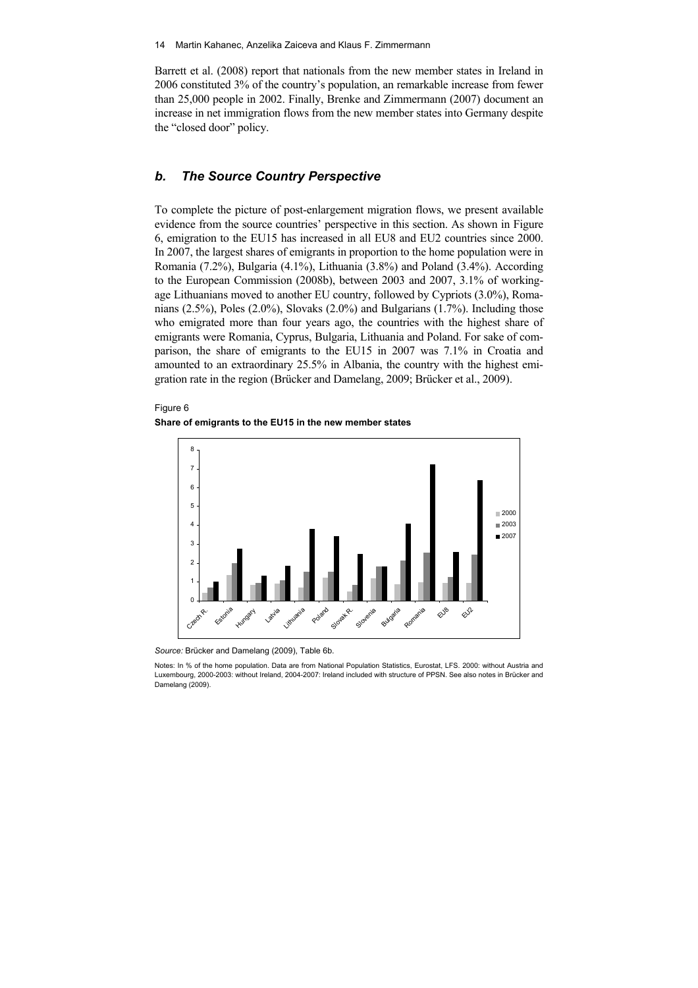Barrett et al. (2008) report that nationals from the new member states in Ireland in 2006 constituted 3% of the country's population, an remarkable increase from fewer than 25,000 people in 2002. Finally, Brenke and Zimmermann (2007) document an increase in net immigration flows from the new member states into Germany despite the "closed door" policy.

### *b. The Source Country Perspective*

To complete the picture of post-enlargement migration flows, we present available evidence from the source countries' perspective in this section. As shown in Figure 6, emigration to the EU15 has increased in all EU8 and EU2 countries since 2000. In 2007, the largest shares of emigrants in proportion to the home population were in Romania (7.2%), Bulgaria (4.1%), Lithuania (3.8%) and Poland (3.4%). According to the European Commission (2008b), between 2003 and 2007, 3.1% of workingage Lithuanians moved to another EU country, followed by Cypriots (3.0%), Romanians (2.5%), Poles (2.0%), Slovaks (2.0%) and Bulgarians (1.7%). Including those who emigrated more than four years ago, the countries with the highest share of emigrants were Romania, Cyprus, Bulgaria, Lithuania and Poland. For sake of comparison, the share of emigrants to the EU15 in 2007 was 7.1% in Croatia and amounted to an extraordinary 25.5% in Albania, the country with the highest emigration rate in the region (Brücker and Damelang, 2009; Brücker et al., 2009).





*Source:* Brücker and Damelang (2009), Table 6b.

Notes: In % of the home population. Data are from National Population Statistics, Eurostat, LFS. 2000: without Austria and Luxembourg, 2000-2003: without Ireland, 2004-2007: Ireland included with structure of PPSN. See also notes in Brücker and Damelang (2009).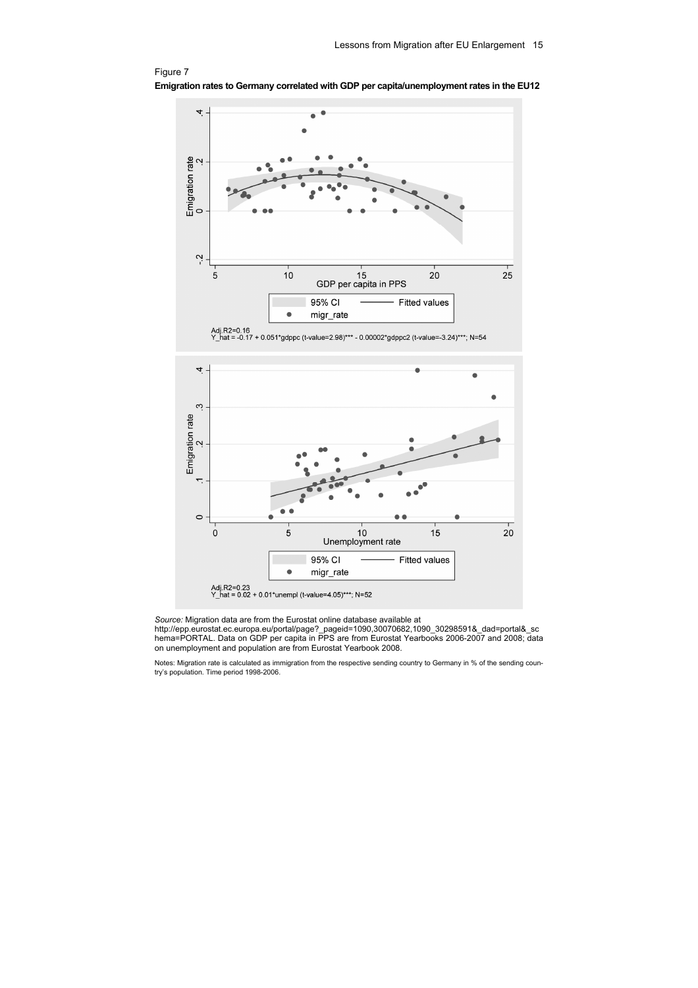#### Figure 7

**Emigration rates to Germany correlated with GDP per capita/unemployment rates in the EU12** 



*Source:* Migration data are from the Eurostat online database available at http://epp.eurostat.ec.europa.eu/portal/page?\_pageid=1090,30070682,1090\_30298591&\_dad=portal&\_sc hema=PORTAL. Data on GDP per capita in PPS are from Eurostat Yearbooks 2006-2007 and 2008; data on unemployment and population are from Eurostat Yearbook 2008.

Notes: Migration rate is calculated as immigration from the respective sending country to Germany in % of the sending country's population. Time period 1998-2006.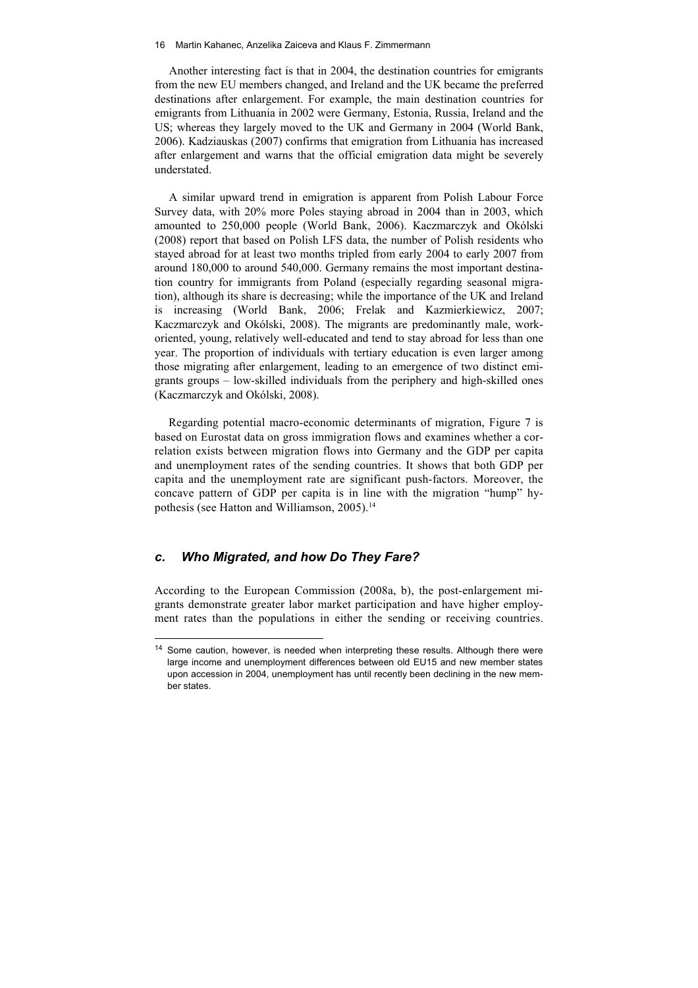Another interesting fact is that in 2004, the destination countries for emigrants from the new EU members changed, and Ireland and the UK became the preferred destinations after enlargement. For example, the main destination countries for emigrants from Lithuania in 2002 were Germany, Estonia, Russia, Ireland and the US; whereas they largely moved to the UK and Germany in 2004 (World Bank, 2006). Kadziauskas (2007) confirms that emigration from Lithuania has increased after enlargement and warns that the official emigration data might be severely understated.

A similar upward trend in emigration is apparent from Polish Labour Force Survey data, with 20% more Poles staying abroad in 2004 than in 2003, which amounted to 250,000 people (World Bank, 2006). Kaczmarczyk and Okólski (2008) report that based on Polish LFS data, the number of Polish residents who stayed abroad for at least two months tripled from early 2004 to early 2007 from around 180,000 to around 540,000. Germany remains the most important destination country for immigrants from Poland (especially regarding seasonal migration), although its share is decreasing; while the importance of the UK and Ireland is increasing (World Bank, 2006; Frelak and Kazmierkiewicz, 2007; Kaczmarczyk and Okólski, 2008). The migrants are predominantly male, workoriented, young, relatively well-educated and tend to stay abroad for less than one year. The proportion of individuals with tertiary education is even larger among those migrating after enlargement, leading to an emergence of two distinct emigrants groups – low-skilled individuals from the periphery and high-skilled ones (Kaczmarczyk and Okólski, 2008).

Regarding potential macro-economic determinants of migration, Figure 7 is based on Eurostat data on gross immigration flows and examines whether a correlation exists between migration flows into Germany and the GDP per capita and unemployment rates of the sending countries. It shows that both GDP per capita and the unemployment rate are significant push-factors. Moreover, the concave pattern of GDP per capita is in line with the migration "hump" hypothesis (see Hatton and Williamson, 2005).<sup>14</sup>

#### *c. Who Migrated, and how Do They Fare?*

l

According to the European Commission (2008a, b), the post-enlargement migrants demonstrate greater labor market participation and have higher employment rates than the populations in either the sending or receiving countries.

<sup>&</sup>lt;sup>14</sup> Some caution, however, is needed when interpreting these results. Although there were large income and unemployment differences between old EU15 and new member states upon accession in 2004, unemployment has until recently been declining in the new member states.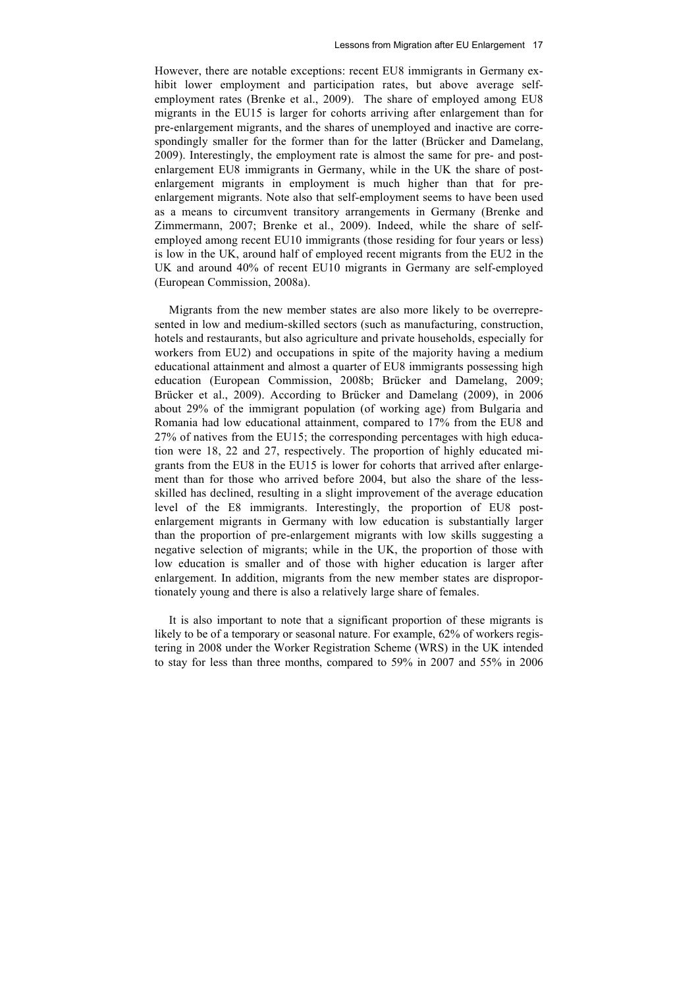However, there are notable exceptions: recent EU8 immigrants in Germany exhibit lower employment and participation rates, but above average selfemployment rates (Brenke et al., 2009). The share of employed among EU8 migrants in the EU15 is larger for cohorts arriving after enlargement than for pre-enlargement migrants, and the shares of unemployed and inactive are correspondingly smaller for the former than for the latter (Brücker and Damelang, 2009). Interestingly, the employment rate is almost the same for pre- and postenlargement EU8 immigrants in Germany, while in the UK the share of postenlargement migrants in employment is much higher than that for preenlargement migrants. Note also that self-employment seems to have been used as a means to circumvent transitory arrangements in Germany (Brenke and Zimmermann, 2007; Brenke et al., 2009). Indeed, while the share of selfemployed among recent EU10 immigrants (those residing for four years or less) is low in the UK, around half of employed recent migrants from the EU2 in the UK and around 40% of recent EU10 migrants in Germany are self-employed (European Commission, 2008a).

Migrants from the new member states are also more likely to be overrepresented in low and medium-skilled sectors (such as manufacturing, construction, hotels and restaurants, but also agriculture and private households, especially for workers from EU2) and occupations in spite of the majority having a medium educational attainment and almost a quarter of EU8 immigrants possessing high education (European Commission, 2008b; Brücker and Damelang, 2009; Brücker et al., 2009). According to Brücker and Damelang (2009), in 2006 about 29% of the immigrant population (of working age) from Bulgaria and Romania had low educational attainment, compared to 17% from the EU8 and 27% of natives from the EU15; the corresponding percentages with high education were 18, 22 and 27, respectively. The proportion of highly educated migrants from the EU8 in the EU15 is lower for cohorts that arrived after enlargement than for those who arrived before 2004, but also the share of the lessskilled has declined, resulting in a slight improvement of the average education level of the E8 immigrants. Interestingly, the proportion of EU8 postenlargement migrants in Germany with low education is substantially larger than the proportion of pre-enlargement migrants with low skills suggesting a negative selection of migrants; while in the UK, the proportion of those with low education is smaller and of those with higher education is larger after enlargement. In addition, migrants from the new member states are disproportionately young and there is also a relatively large share of females.

It is also important to note that a significant proportion of these migrants is likely to be of a temporary or seasonal nature. For example, 62% of workers registering in 2008 under the Worker Registration Scheme (WRS) in the UK intended to stay for less than three months, compared to 59% in 2007 and 55% in 2006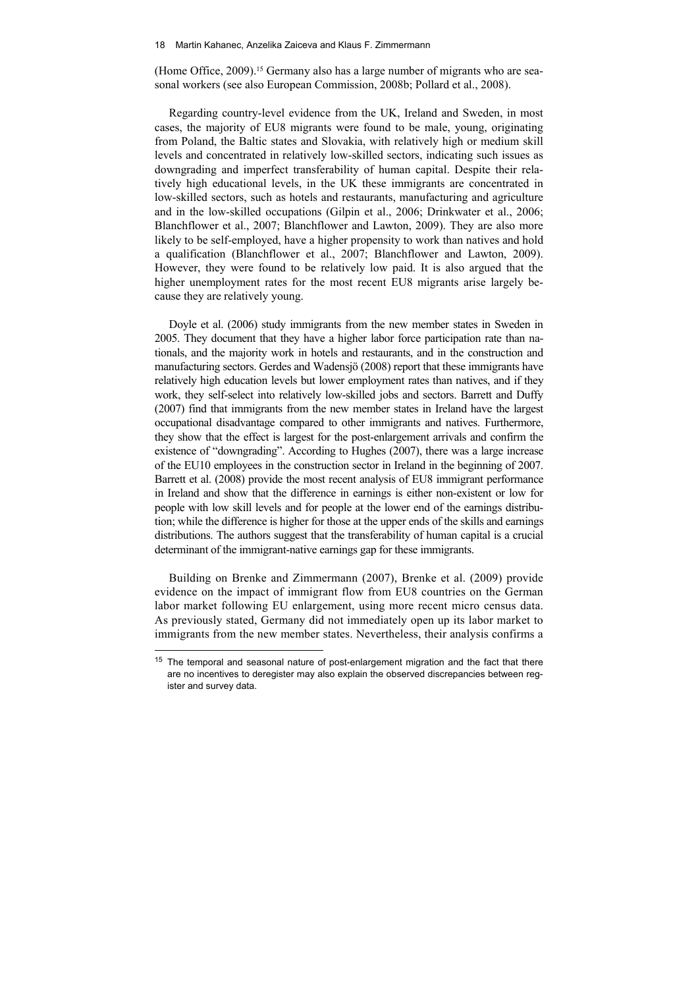(Home Office, 2009).15 Germany also has a large number of migrants who are seasonal workers (see also European Commission, 2008b; Pollard et al., 2008).

Regarding country-level evidence from the UK, Ireland and Sweden, in most cases, the majority of EU8 migrants were found to be male, young, originating from Poland, the Baltic states and Slovakia, with relatively high or medium skill levels and concentrated in relatively low-skilled sectors, indicating such issues as downgrading and imperfect transferability of human capital. Despite their relatively high educational levels, in the UK these immigrants are concentrated in low-skilled sectors, such as hotels and restaurants, manufacturing and agriculture and in the low-skilled occupations (Gilpin et al., 2006; Drinkwater et al., 2006; Blanchflower et al., 2007; Blanchflower and Lawton, 2009). They are also more likely to be self-employed, have a higher propensity to work than natives and hold a qualification (Blanchflower et al., 2007; Blanchflower and Lawton, 2009). However, they were found to be relatively low paid. It is also argued that the higher unemployment rates for the most recent EU8 migrants arise largely because they are relatively young.

Doyle et al. (2006) study immigrants from the new member states in Sweden in 2005. They document that they have a higher labor force participation rate than nationals, and the majority work in hotels and restaurants, and in the construction and manufacturing sectors. Gerdes and Wadensjö (2008) report that these immigrants have relatively high education levels but lower employment rates than natives, and if they work, they self-select into relatively low-skilled jobs and sectors. Barrett and Duffy (2007) find that immigrants from the new member states in Ireland have the largest occupational disadvantage compared to other immigrants and natives. Furthermore, they show that the effect is largest for the post-enlargement arrivals and confirm the existence of "downgrading". According to Hughes (2007), there was a large increase of the EU10 employees in the construction sector in Ireland in the beginning of 2007. Barrett et al. (2008) provide the most recent analysis of EU8 immigrant performance in Ireland and show that the difference in earnings is either non-existent or low for people with low skill levels and for people at the lower end of the earnings distribution; while the difference is higher for those at the upper ends of the skills and earnings distributions. The authors suggest that the transferability of human capital is a crucial determinant of the immigrant-native earnings gap for these immigrants.

Building on Brenke and Zimmermann (2007), Brenke et al. (2009) provide evidence on the impact of immigrant flow from EU8 countries on the German labor market following EU enlargement, using more recent micro census data. As previously stated, Germany did not immediately open up its labor market to immigrants from the new member states. Nevertheless, their analysis confirms a

<sup>&</sup>lt;sup>15</sup> The temporal and seasonal nature of post-enlargement migration and the fact that there are no incentives to deregister may also explain the observed discrepancies between register and survey data.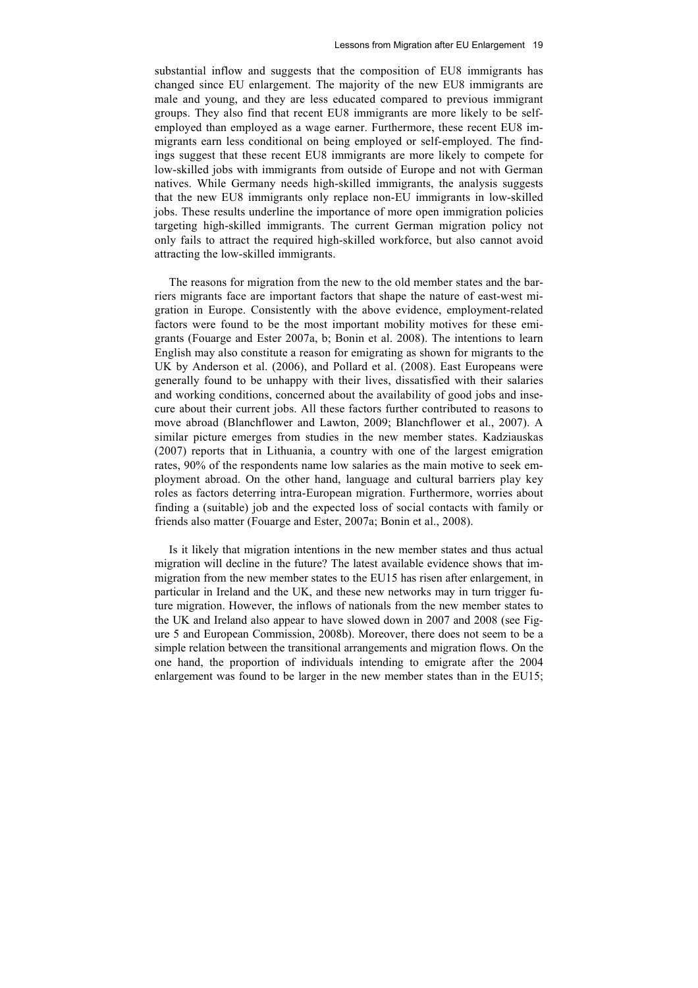substantial inflow and suggests that the composition of EU8 immigrants has changed since EU enlargement. The majority of the new EU8 immigrants are male and young, and they are less educated compared to previous immigrant groups. They also find that recent EU8 immigrants are more likely to be selfemployed than employed as a wage earner. Furthermore, these recent EU8 immigrants earn less conditional on being employed or self-employed. The findings suggest that these recent EU8 immigrants are more likely to compete for low-skilled jobs with immigrants from outside of Europe and not with German natives. While Germany needs high-skilled immigrants, the analysis suggests that the new EU8 immigrants only replace non-EU immigrants in low-skilled jobs. These results underline the importance of more open immigration policies targeting high-skilled immigrants. The current German migration policy not only fails to attract the required high-skilled workforce, but also cannot avoid attracting the low-skilled immigrants.

The reasons for migration from the new to the old member states and the barriers migrants face are important factors that shape the nature of east-west migration in Europe. Consistently with the above evidence, employment-related factors were found to be the most important mobility motives for these emigrants (Fouarge and Ester 2007a, b; Bonin et al. 2008). The intentions to learn English may also constitute a reason for emigrating as shown for migrants to the UK by Anderson et al. (2006), and Pollard et al. (2008). East Europeans were generally found to be unhappy with their lives, dissatisfied with their salaries and working conditions, concerned about the availability of good jobs and insecure about their current jobs. All these factors further contributed to reasons to move abroad (Blanchflower and Lawton, 2009; Blanchflower et al., 2007). A similar picture emerges from studies in the new member states. Kadziauskas (2007) reports that in Lithuania, a country with one of the largest emigration rates, 90% of the respondents name low salaries as the main motive to seek employment abroad. On the other hand, language and cultural barriers play key roles as factors deterring intra-European migration. Furthermore, worries about finding a (suitable) job and the expected loss of social contacts with family or friends also matter (Fouarge and Ester, 2007a; Bonin et al., 2008).

Is it likely that migration intentions in the new member states and thus actual migration will decline in the future? The latest available evidence shows that immigration from the new member states to the EU15 has risen after enlargement, in particular in Ireland and the UK, and these new networks may in turn trigger future migration. However, the inflows of nationals from the new member states to the UK and Ireland also appear to have slowed down in 2007 and 2008 (see Figure 5 and European Commission, 2008b). Moreover, there does not seem to be a simple relation between the transitional arrangements and migration flows. On the one hand, the proportion of individuals intending to emigrate after the 2004 enlargement was found to be larger in the new member states than in the EU15;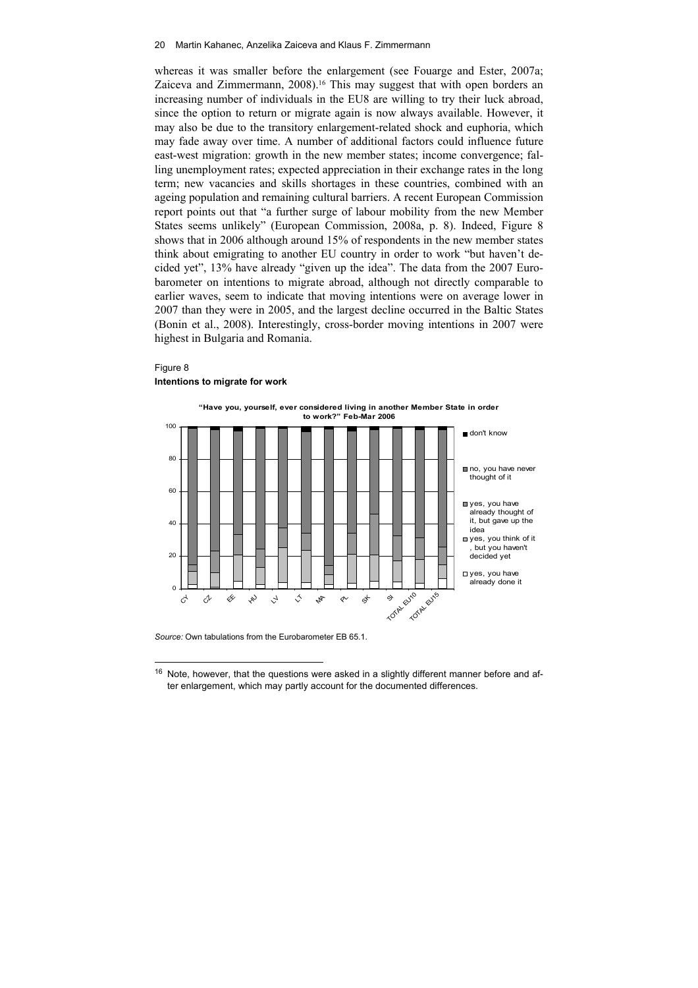whereas it was smaller before the enlargement (see Fouarge and Ester, 2007a; Zaiceva and Zimmermann, 2008).<sup>16</sup> This may suggest that with open borders an increasing number of individuals in the EU8 are willing to try their luck abroad, since the option to return or migrate again is now always available. However, it may also be due to the transitory enlargement-related shock and euphoria, which may fade away over time. A number of additional factors could influence future east-west migration: growth in the new member states; income convergence; falling unemployment rates; expected appreciation in their exchange rates in the long term; new vacancies and skills shortages in these countries, combined with an ageing population and remaining cultural barriers. A recent European Commission report points out that "a further surge of labour mobility from the new Member States seems unlikely" (European Commission, 2008a, p. 8). Indeed, Figure 8 shows that in 2006 although around 15% of respondents in the new member states think about emigrating to another EU country in order to work "but haven't decided yet", 13% have already "given up the idea". The data from the 2007 Eurobarometer on intentions to migrate abroad, although not directly comparable to earlier waves, seem to indicate that moving intentions were on average lower in 2007 than they were in 2005, and the largest decline occurred in the Baltic States (Bonin et al., 2008). Interestingly, cross-border moving intentions in 2007 were highest in Bulgaria and Romania.

#### Figure 8 **Intentions to migrate for work**



*Source:* Own tabulations from the Eurobarometer EB 65.1.

 $16$  Note, however, that the questions were asked in a slightly different manner before and after enlargement, which may partly account for the documented differences.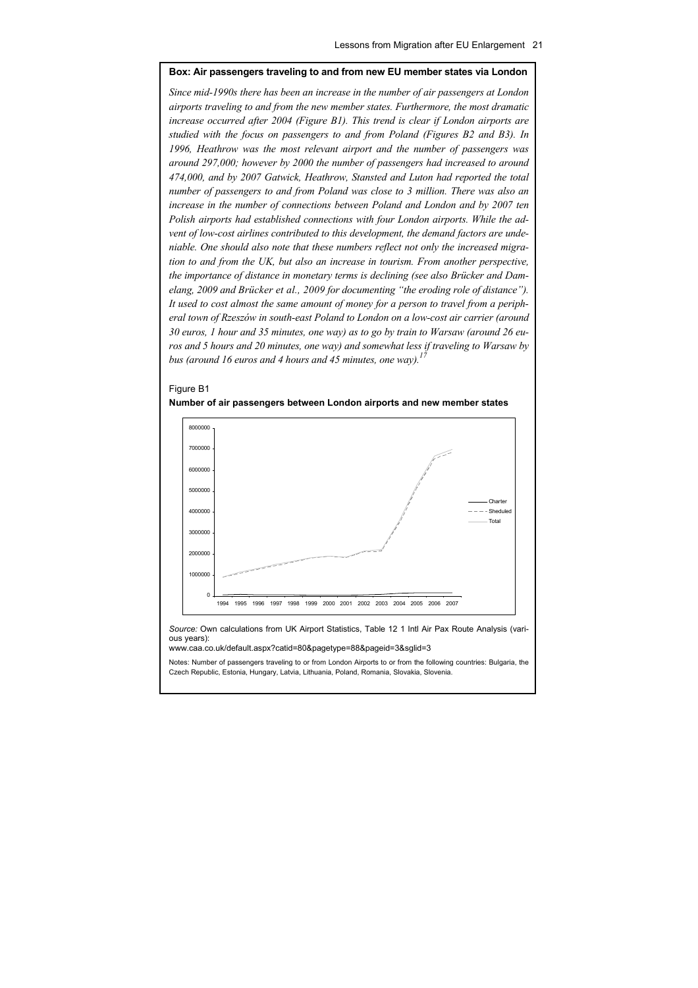#### **Box: Air passengers traveling to and from new EU member states via London**

*Since mid-1990s there has been an increase in the number of air passengers at London airports traveling to and from the new member states. Furthermore, the most dramatic increase occurred after 2004 (Figure B1). This trend is clear if London airports are studied with the focus on passengers to and from Poland (Figures B2 and B3). In 1996, Heathrow was the most relevant airport and the number of passengers was around 297,000; however by 2000 the number of passengers had increased to around 474,000, and by 2007 Gatwick, Heathrow, Stansted and Luton had reported the total number of passengers to and from Poland was close to 3 million. There was also an*  increase in the number of connections between Poland and London and by 2007 ten *Polish airports had established connections with four London airports. While the advent of low-cost airlines contributed to this development, the demand factors are undeniable. One should also note that these numbers reflect not only the increased migration to and from the UK, but also an increase in tourism. From another perspective, the importance of distance in monetary terms is declining (see also Brücker and Damelang, 2009 and Brücker et al., 2009 for documenting "the eroding role of distance"). It used to cost almost the same amount of money for a person to travel from a peripheral town of Rzeszów in south-east Poland to London on a low-cost air carrier (around 30 euros, 1 hour and 35 minutes, one way) as to go by train to Warsaw (around 26 euros and 5 hours and 20 minutes, one way) and somewhat less if traveling to Warsaw by bus (around 16 euros and 4 hours and 45 minutes, one way).17*





www.caa.co.uk/default.aspx?catid=80&pagetype=88&pageid=3&sglid=3

Notes: Number of passengers traveling to or from London Airports to or from the following countries: Bulgaria, the Czech Republic, Estonia, Hungary, Latvia, Lithuania, Poland, Romania, Slovakia, Slovenia.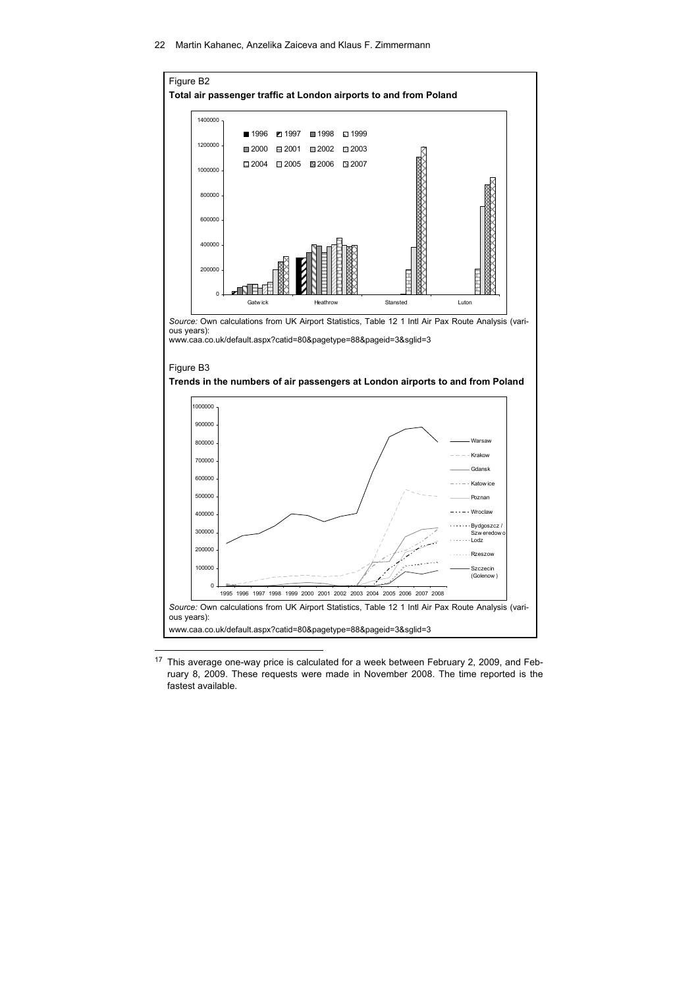

<sup>17</sup> This average one-way price is calculated for a week between February 2, 2009, and February 8, 2009. These requests were made in November 2008. The time reported is the fastest available.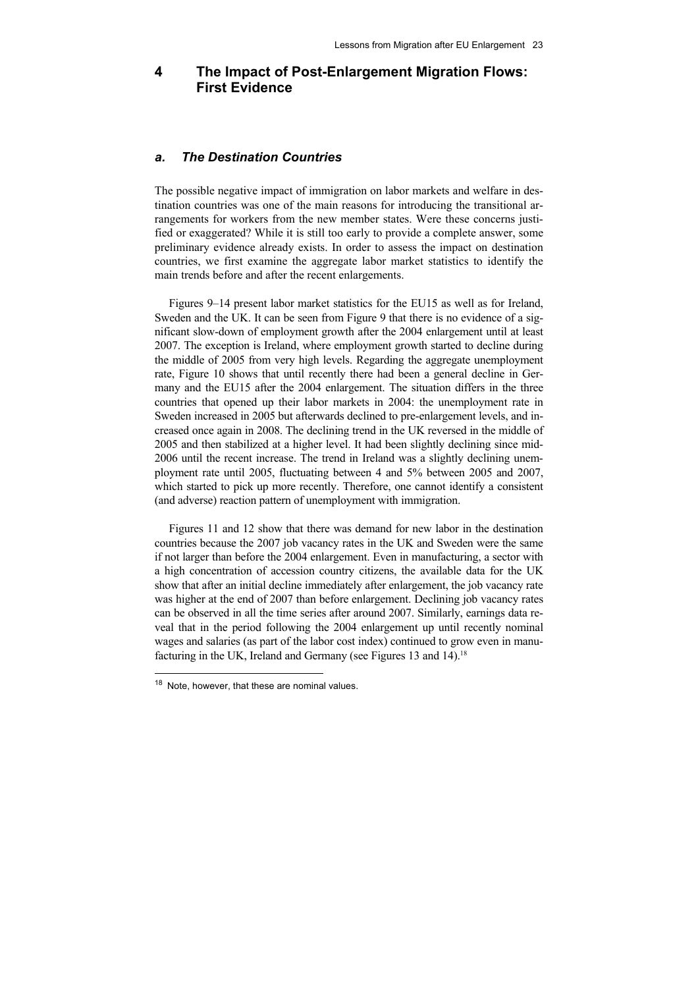## **4 The Impact of Post-Enlargement Migration Flows: First Evidence**

#### *a. The Destination Countries*

The possible negative impact of immigration on labor markets and welfare in destination countries was one of the main reasons for introducing the transitional arrangements for workers from the new member states. Were these concerns justified or exaggerated? While it is still too early to provide a complete answer, some preliminary evidence already exists. In order to assess the impact on destination countries, we first examine the aggregate labor market statistics to identify the main trends before and after the recent enlargements.

Figures 9–14 present labor market statistics for the EU15 as well as for Ireland, Sweden and the UK. It can be seen from Figure 9 that there is no evidence of a significant slow-down of employment growth after the 2004 enlargement until at least 2007. The exception is Ireland, where employment growth started to decline during the middle of 2005 from very high levels. Regarding the aggregate unemployment rate, Figure 10 shows that until recently there had been a general decline in Germany and the EU15 after the 2004 enlargement. The situation differs in the three countries that opened up their labor markets in 2004: the unemployment rate in Sweden increased in 2005 but afterwards declined to pre-enlargement levels, and increased once again in 2008. The declining trend in the UK reversed in the middle of 2005 and then stabilized at a higher level. It had been slightly declining since mid-2006 until the recent increase. The trend in Ireland was a slightly declining unemployment rate until 2005, fluctuating between 4 and 5% between 2005 and 2007, which started to pick up more recently. Therefore, one cannot identify a consistent (and adverse) reaction pattern of unemployment with immigration.

Figures 11 and 12 show that there was demand for new labor in the destination countries because the 2007 job vacancy rates in the UK and Sweden were the same if not larger than before the 2004 enlargement. Even in manufacturing, a sector with a high concentration of accession country citizens, the available data for the UK show that after an initial decline immediately after enlargement, the job vacancy rate was higher at the end of 2007 than before enlargement. Declining job vacancy rates can be observed in all the time series after around 2007. Similarly, earnings data reveal that in the period following the 2004 enlargement up until recently nominal wages and salaries (as part of the labor cost index) continued to grow even in manufacturing in the UK, Ireland and Germany (see Figures 13 and 14).<sup>18</sup>

<sup>&</sup>lt;sup>18</sup> Note, however, that these are nominal values.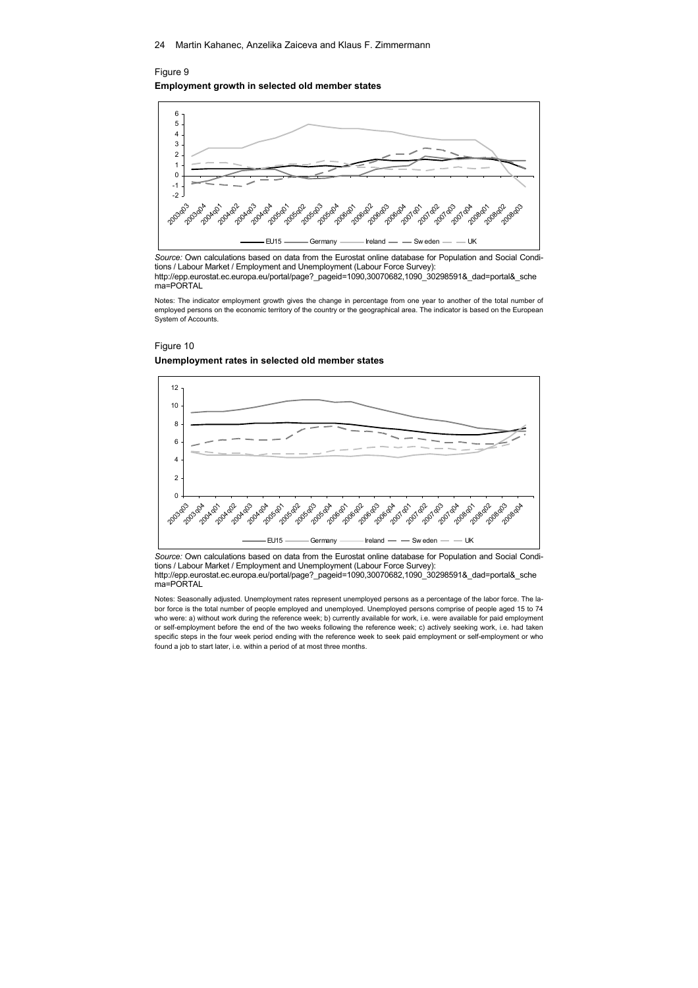



*Source:* Own calculations based on data from the Eurostat online database for Population and Social Conditions / Labour Market / Employment and Unemployment (Labour Force Survey): http://epp.eurostat.ec.europa.eu/portal/page?\_pageid=1090,30070682,1090\_30298591&\_dad=portal&\_sche

Notes: The indicator employment growth gives the change in percentage from one year to another of the total number of<br>employed persons on the economic territory of the country or the geographical area. The indicator is bas System of Accounts.



Figure 10 **Unemployment rates in selected old member states** 

ma=PORTAL

*Source:* Own calculations based on data from the Eurostat online database for Population and Social Conditions / Labour Market / Employment and Unemployment (Labour Force Survey): http://epp.eurostat.ec.europa.eu/portal/page?\_pageid=1090,30070682,1090\_30298591&\_dad=portal&\_sche ma=PORTAL

Notes: Seasonally adjusted. Unemployment rates represent unemployed persons as a percentage of the labor force. The labor force is the total number of people employed and unemployed. Unemployed persons comprise of people aged 15 to 74 who were: a) without work during the reference week; b) currently available for work, i.e. were available for paid employment or self-employment before the end of the two weeks following the reference week; c) actively seeking work, i.e. had taken specific steps in the four week period ending with the reference week to seek paid employment or self-employment or who found a job to start later, i.e. within a period of at most three months.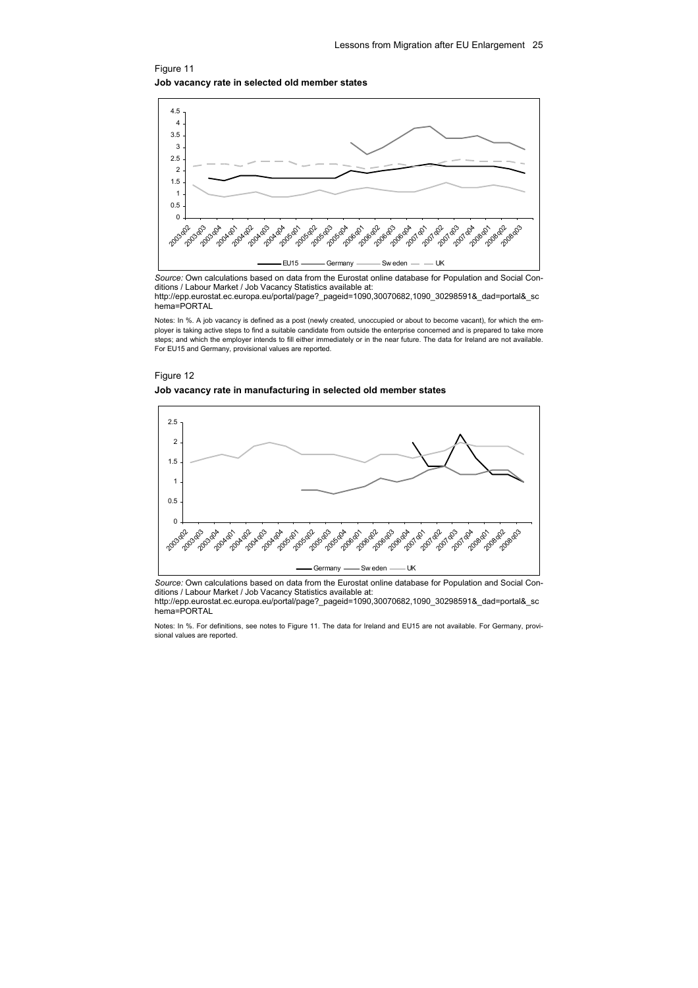#### Figure 11 **Job vacancy rate in selected old member states**

hema=PORTAL



ditions / Labour Market / Job Vacancy Statistics available at: http://epp.eurostat.ec.europa.eu/portal/page?\_pageid=1090,30070682,1090\_30298591&\_dad=portal&\_sc

Notes: In %. A job vacancy is defined as a post (newly created, unoccupied or about to become vacant), for which the employer is taking active steps to find a suitable candidate from outside the enterprise concerned and is prepared to take more steps; and which the employer intends to fill either immediately or in the near future. The data for Ireland are not available. For EU15 and Germany, provisional values are reported.



Figure 12 **Job vacancy rate in manufacturing in selected old member states** 

ditions / Labour Market / Job Vacancy Statistics available at: http://epp.eurostat.ec.europa.eu/portal/page?\_pageid=1090,30070682,1090\_30298591&\_dad=portal&\_sc hema=PORTAL

Notes: In %. For definitions, see notes to Figure 11. The data for Ireland and EU15 are not available. For Germany, provisional values are reported.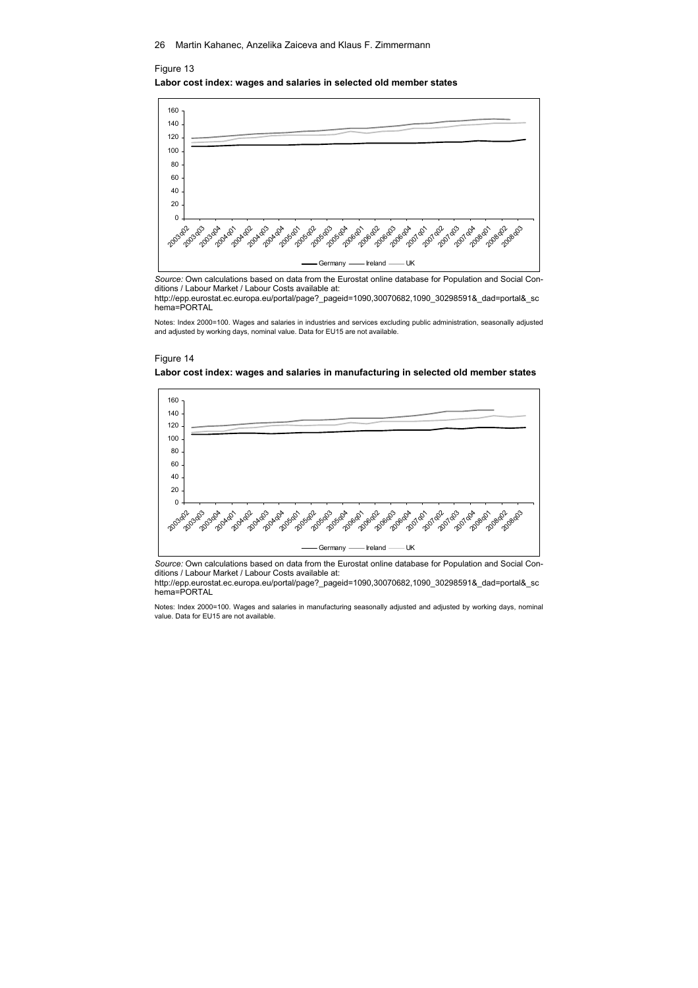#### Figure 13

**Labor cost index: wages and salaries in selected old member states** 



*Source:* Own calculations based on data from the Eurostat online database for Population and Social Conditions / Labour Market / Labour Costs available at: http://epp.eurostat.ec.europa.eu/portal/page?\_pageid=1090,30070682,1090\_30298591&\_dad=portal&\_sc hema=PORTAL

Notes: Index 2000=100. Wages and salaries in industries and services excluding public administration, seasonally adjusted and adjusted by working days, nominal value. Data for EU15 are not available.

#### Figure 14

**Labor cost index: wages and salaries in manufacturing in selected old member states** 



*Source:* Own calculations based on data from the Eurostat online database for Population and Social Conditions / Labour Market / Labour Costs available at: http://epp.eurostat.ec.europa.eu/portal/page?\_pageid=1090,30070682,1090\_30298591&\_dad=portal&\_sc

hema=PORTAL

Notes: Index 2000=100. Wages and salaries in manufacturing seasonally adjusted and adjusted by working days, nominal value. Data for EU15 are not available.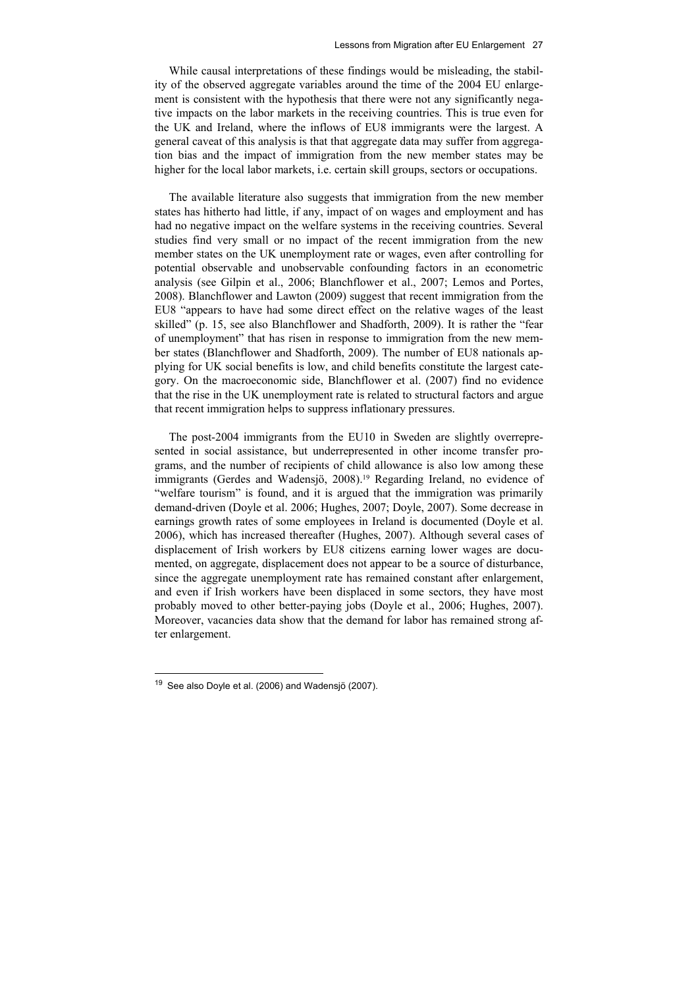While causal interpretations of these findings would be misleading, the stability of the observed aggregate variables around the time of the 2004 EU enlargement is consistent with the hypothesis that there were not any significantly negative impacts on the labor markets in the receiving countries. This is true even for the UK and Ireland, where the inflows of EU8 immigrants were the largest. A general caveat of this analysis is that that aggregate data may suffer from aggregation bias and the impact of immigration from the new member states may be higher for the local labor markets, i.e. certain skill groups, sectors or occupations.

The available literature also suggests that immigration from the new member states has hitherto had little, if any, impact of on wages and employment and has had no negative impact on the welfare systems in the receiving countries. Several studies find very small or no impact of the recent immigration from the new member states on the UK unemployment rate or wages, even after controlling for potential observable and unobservable confounding factors in an econometric analysis (see Gilpin et al., 2006; Blanchflower et al., 2007; Lemos and Portes, 2008). Blanchflower and Lawton (2009) suggest that recent immigration from the EU8 "appears to have had some direct effect on the relative wages of the least skilled" (p. 15, see also Blanchflower and Shadforth, 2009). It is rather the "fear of unemployment" that has risen in response to immigration from the new member states (Blanchflower and Shadforth, 2009). The number of EU8 nationals applying for UK social benefits is low, and child benefits constitute the largest category. On the macroeconomic side, Blanchflower et al. (2007) find no evidence that the rise in the UK unemployment rate is related to structural factors and argue that recent immigration helps to suppress inflationary pressures.

The post-2004 immigrants from the EU10 in Sweden are slightly overrepresented in social assistance, but underrepresented in other income transfer programs, and the number of recipients of child allowance is also low among these immigrants (Gerdes and Wadensjö, 2008).<sup>19</sup> Regarding Ireland, no evidence of "welfare tourism" is found, and it is argued that the immigration was primarily demand-driven (Doyle et al. 2006; Hughes, 2007; Doyle, 2007). Some decrease in earnings growth rates of some employees in Ireland is documented (Doyle et al. 2006), which has increased thereafter (Hughes, 2007). Although several cases of displacement of Irish workers by EU8 citizens earning lower wages are documented, on aggregate, displacement does not appear to be a source of disturbance, since the aggregate unemployment rate has remained constant after enlargement, and even if Irish workers have been displaced in some sectors, they have most probably moved to other better-paying jobs (Doyle et al., 2006; Hughes, 2007). Moreover, vacancies data show that the demand for labor has remained strong after enlargement.

<sup>&</sup>lt;sup>19</sup> See also Doyle et al. (2006) and Wadensjö (2007).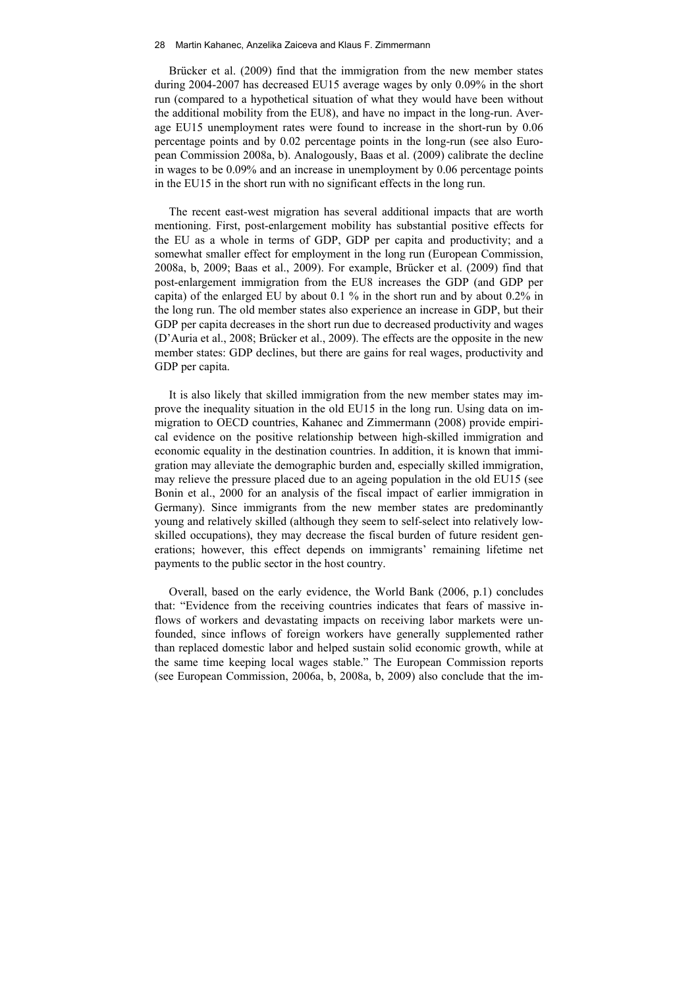Brücker et al. (2009) find that the immigration from the new member states during 2004-2007 has decreased EU15 average wages by only 0.09% in the short run (compared to a hypothetical situation of what they would have been without the additional mobility from the EU8), and have no impact in the long-run. Average EU15 unemployment rates were found to increase in the short-run by 0.06 percentage points and by 0.02 percentage points in the long-run (see also European Commission 2008a, b). Analogously, Baas et al. (2009) calibrate the decline in wages to be 0.09% and an increase in unemployment by 0.06 percentage points in the EU15 in the short run with no significant effects in the long run.

The recent east-west migration has several additional impacts that are worth mentioning. First, post-enlargement mobility has substantial positive effects for the EU as a whole in terms of GDP, GDP per capita and productivity; and a somewhat smaller effect for employment in the long run (European Commission, 2008a, b, 2009; Baas et al., 2009). For example, Brücker et al. (2009) find that post-enlargement immigration from the EU8 increases the GDP (and GDP per capita) of the enlarged EU by about 0.1 % in the short run and by about 0.2% in the long run. The old member states also experience an increase in GDP, but their GDP per capita decreases in the short run due to decreased productivity and wages (D'Auria et al., 2008; Brücker et al., 2009). The effects are the opposite in the new member states: GDP declines, but there are gains for real wages, productivity and GDP per capita.

It is also likely that skilled immigration from the new member states may improve the inequality situation in the old EU15 in the long run. Using data on immigration to OECD countries, Kahanec and Zimmermann (2008) provide empirical evidence on the positive relationship between high-skilled immigration and economic equality in the destination countries. In addition, it is known that immigration may alleviate the demographic burden and, especially skilled immigration, may relieve the pressure placed due to an ageing population in the old EU15 (see Bonin et al., 2000 for an analysis of the fiscal impact of earlier immigration in Germany). Since immigrants from the new member states are predominantly young and relatively skilled (although they seem to self-select into relatively lowskilled occupations), they may decrease the fiscal burden of future resident generations; however, this effect depends on immigrants' remaining lifetime net payments to the public sector in the host country.

Overall, based on the early evidence, the World Bank (2006, p.1) concludes that: "Evidence from the receiving countries indicates that fears of massive inflows of workers and devastating impacts on receiving labor markets were unfounded, since inflows of foreign workers have generally supplemented rather than replaced domestic labor and helped sustain solid economic growth, while at the same time keeping local wages stable." The European Commission reports (see European Commission, 2006a, b, 2008a, b, 2009) also conclude that the im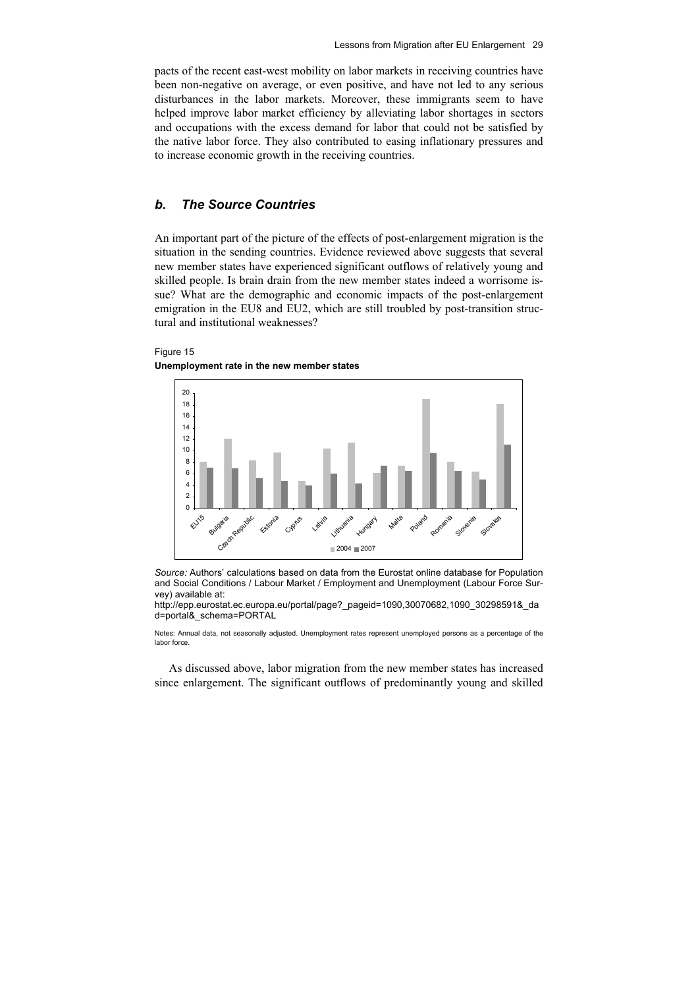pacts of the recent east-west mobility on labor markets in receiving countries have been non-negative on average, or even positive, and have not led to any serious disturbances in the labor markets. Moreover, these immigrants seem to have helped improve labor market efficiency by alleviating labor shortages in sectors and occupations with the excess demand for labor that could not be satisfied by the native labor force. They also contributed to easing inflationary pressures and to increase economic growth in the receiving countries.

#### *b. The Source Countries*

An important part of the picture of the effects of post-enlargement migration is the situation in the sending countries. Evidence reviewed above suggests that several new member states have experienced significant outflows of relatively young and skilled people. Is brain drain from the new member states indeed a worrisome issue? What are the demographic and economic impacts of the post-enlargement emigration in the EU8 and EU2, which are still troubled by post-transition structural and institutional weaknesses?

#### Figure 15 **Unemployment rate in the new member states**



*Source:* Authors' calculations based on data from the Eurostat online database for Population and Social Conditions / Labour Market / Employment and Unemployment (Labour Force Survey) available at:

http://epp.eurostat.ec.europa.eu/portal/page?\_pageid=1090,30070682,1090\_30298591&\_da d=portal&\_schema=PORTAL

Notes: Annual data, not seasonally adjusted. Unemployment rates represent unemployed persons as a percentage of the labor force.

As discussed above, labor migration from the new member states has increased since enlargement. The significant outflows of predominantly young and skilled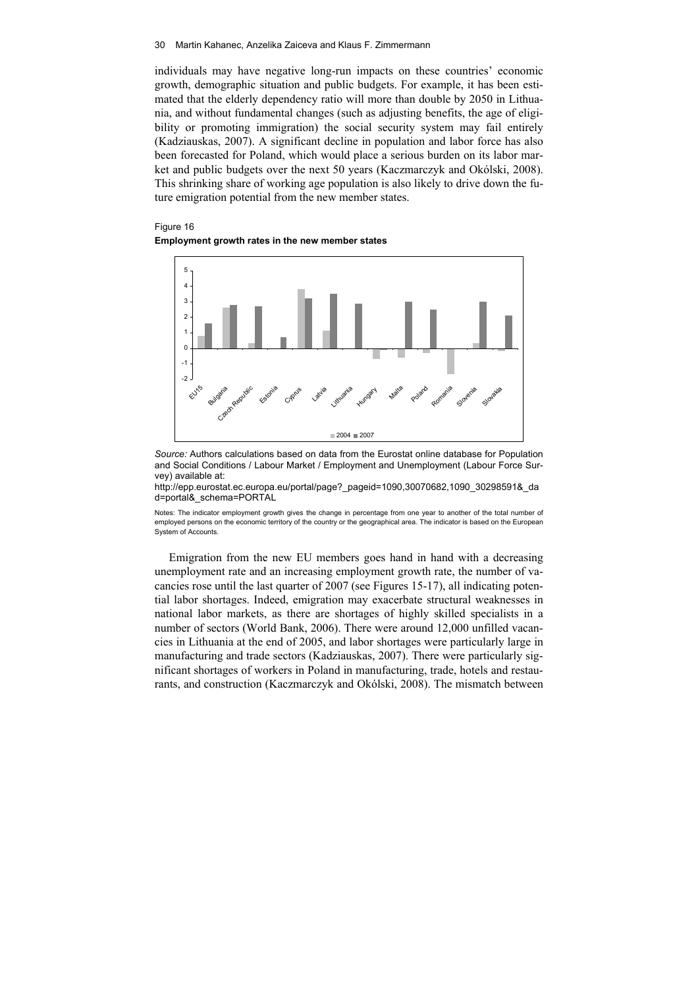individuals may have negative long-run impacts on these countries' economic growth, demographic situation and public budgets. For example, it has been estimated that the elderly dependency ratio will more than double by 2050 in Lithuania, and without fundamental changes (such as adjusting benefits, the age of eligibility or promoting immigration) the social security system may fail entirely (Kadziauskas, 2007). A significant decline in population and labor force has also been forecasted for Poland, which would place a serious burden on its labor market and public budgets over the next 50 years (Kaczmarczyk and Okólski, 2008). This shrinking share of working age population is also likely to drive down the future emigration potential from the new member states.

#### Figure 16 **Employment growth rates in the new member states**



*Source:* Authors calculations based on data from the Eurostat online database for Population and Social Conditions / Labour Market / Employment and Unemployment (Labour Force Survey) available at:

http://epp.eurostat.ec.europa.eu/portal/page?\_pageid=1090,30070682,1090\_30298591&\_da d=portal&\_schema=PORTAL

Notes: The indicator employment growth gives the change in percentage from one year to another of the total number of employed persons on the economic territory of the country or the geographical area. The indicator is based on the European System of Accounts.

Emigration from the new EU members goes hand in hand with a decreasing unemployment rate and an increasing employment growth rate, the number of vacancies rose until the last quarter of 2007 (see Figures 15-17), all indicating potential labor shortages. Indeed, emigration may exacerbate structural weaknesses in national labor markets, as there are shortages of highly skilled specialists in a number of sectors (World Bank, 2006). There were around 12,000 unfilled vacancies in Lithuania at the end of 2005, and labor shortages were particularly large in manufacturing and trade sectors (Kadziauskas, 2007). There were particularly significant shortages of workers in Poland in manufacturing, trade, hotels and restaurants, and construction (Kaczmarczyk and Okólski, 2008). The mismatch between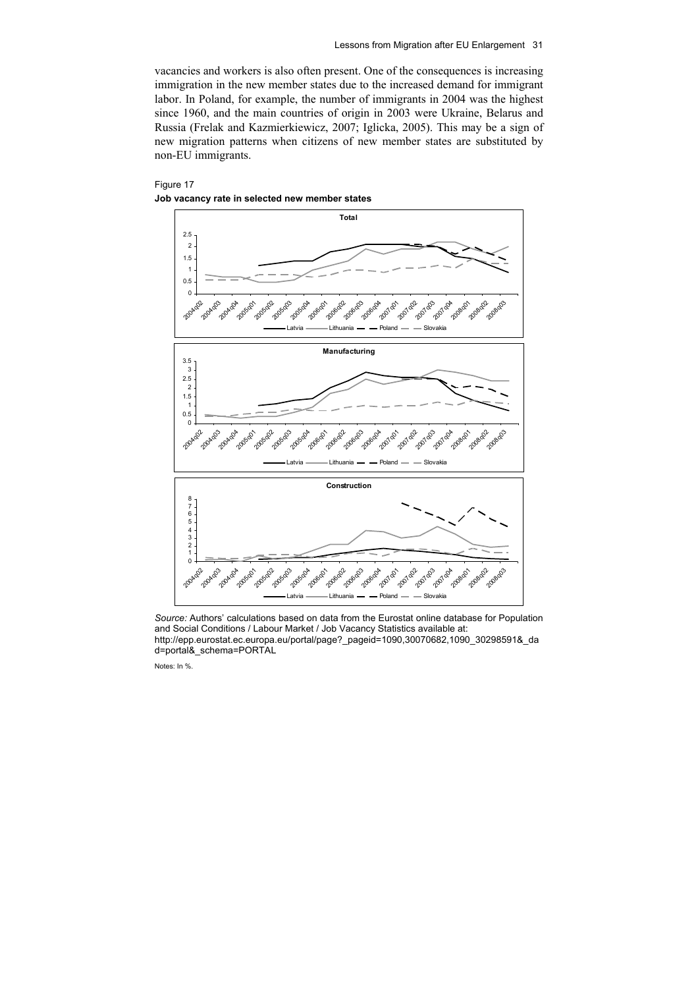vacancies and workers is also often present. One of the consequences is increasing immigration in the new member states due to the increased demand for immigrant labor. In Poland, for example, the number of immigrants in 2004 was the highest since 1960, and the main countries of origin in 2003 were Ukraine, Belarus and Russia (Frelak and Kazmierkiewicz, 2007; Iglicka, 2005). This may be a sign of new migration patterns when citizens of new member states are substituted by non-EU immigrants.





*Source:* Authors' calculations based on data from the Eurostat online database for Population and Social Conditions / Labour Market / Job Vacancy Statistics available at: http://epp.eurostat.ec.europa.eu/portal/page?\_pageid=1090,30070682,1090\_30298591&\_da d=portal&\_schema=PORTAL

Notes: In %.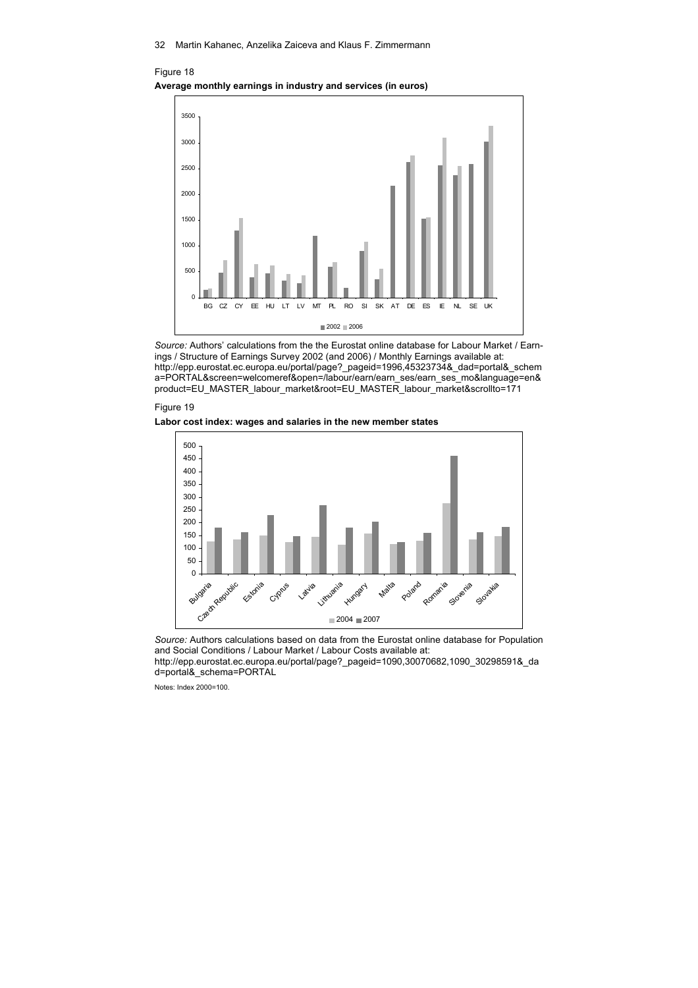

**Average monthly earnings in industry and services (in euros)**

*Source:* Authors' calculations from the the Eurostat online database for Labour Market / Earnings / Structure of Earnings Survey 2002 (and 2006) / Monthly Earnings available at: http://epp.eurostat.ec.europa.eu/portal/page?\_pageid=1996,45323734&\_dad=portal&\_schem a=PORTAL&screen=welcomeref&open=/labour/earn/earn\_ses/earn\_ses\_mo&language=en& product=EU\_MASTER\_labour\_market&root=EU\_MASTER\_labour\_market&scrollto=171



Figure 18

**Labor cost index: wages and salaries in the new member states** 



*Source:* Authors calculations based on data from the Eurostat online database for Population and Social Conditions / Labour Market / Labour Costs available at: http://epp.eurostat.ec.europa.eu/portal/page?\_pageid=1090,30070682,1090\_30298591&\_da d=portal&\_schema=PORTAL

Notes: Index 2000=100.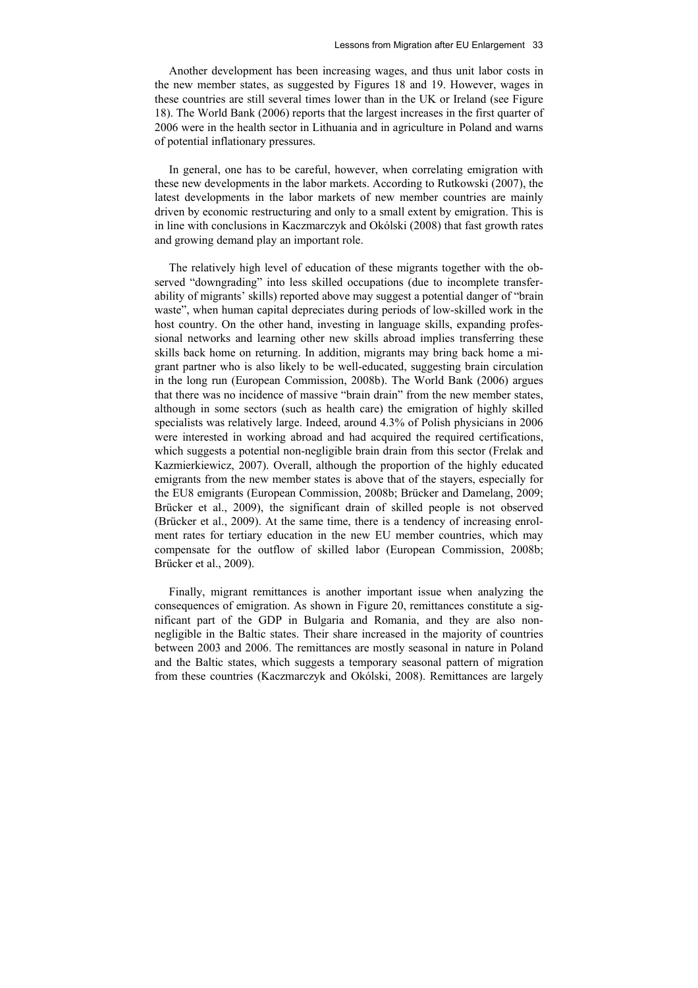Another development has been increasing wages, and thus unit labor costs in the new member states, as suggested by Figures 18 and 19. However, wages in these countries are still several times lower than in the UK or Ireland (see Figure 18). The World Bank (2006) reports that the largest increases in the first quarter of 2006 were in the health sector in Lithuania and in agriculture in Poland and warns of potential inflationary pressures.

In general, one has to be careful, however, when correlating emigration with these new developments in the labor markets. According to Rutkowski (2007), the latest developments in the labor markets of new member countries are mainly driven by economic restructuring and only to a small extent by emigration. This is in line with conclusions in Kaczmarczyk and Okólski (2008) that fast growth rates and growing demand play an important role.

The relatively high level of education of these migrants together with the observed "downgrading" into less skilled occupations (due to incomplete transferability of migrants' skills) reported above may suggest a potential danger of "brain waste", when human capital depreciates during periods of low-skilled work in the host country. On the other hand, investing in language skills, expanding professional networks and learning other new skills abroad implies transferring these skills back home on returning. In addition, migrants may bring back home a migrant partner who is also likely to be well-educated, suggesting brain circulation in the long run (European Commission, 2008b). The World Bank (2006) argues that there was no incidence of massive "brain drain" from the new member states, although in some sectors (such as health care) the emigration of highly skilled specialists was relatively large. Indeed, around 4.3% of Polish physicians in 2006 were interested in working abroad and had acquired the required certifications, which suggests a potential non-negligible brain drain from this sector (Frelak and Kazmierkiewicz, 2007). Overall, although the proportion of the highly educated emigrants from the new member states is above that of the stayers, especially for the EU8 emigrants (European Commission, 2008b; Brücker and Damelang, 2009; Brücker et al., 2009), the significant drain of skilled people is not observed (Brücker et al., 2009). At the same time, there is a tendency of increasing enrolment rates for tertiary education in the new EU member countries, which may compensate for the outflow of skilled labor (European Commission, 2008b; Brücker et al., 2009).

Finally, migrant remittances is another important issue when analyzing the consequences of emigration. As shown in Figure 20, remittances constitute a significant part of the GDP in Bulgaria and Romania, and they are also nonnegligible in the Baltic states. Their share increased in the majority of countries between 2003 and 2006. The remittances are mostly seasonal in nature in Poland and the Baltic states, which suggests a temporary seasonal pattern of migration from these countries (Kaczmarczyk and Okólski, 2008). Remittances are largely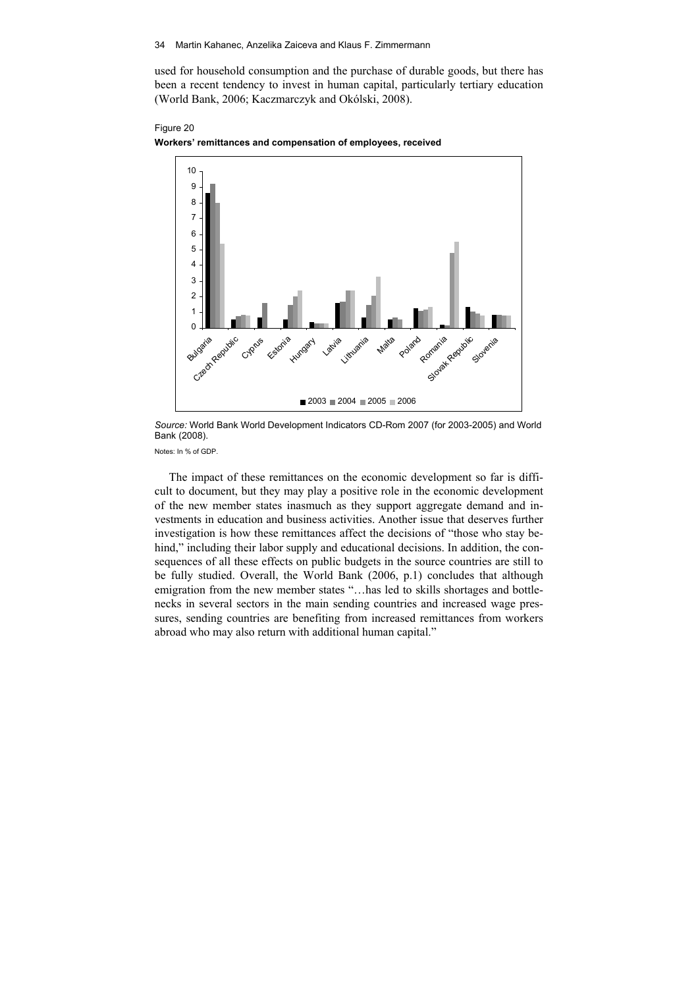used for household consumption and the purchase of durable goods, but there has been a recent tendency to invest in human capital, particularly tertiary education (World Bank, 2006; Kaczmarczyk and Okólski, 2008).



Figure 20 **Workers' remittances and compensation of employees, received** 



Notes: In % of GDP.

The impact of these remittances on the economic development so far is difficult to document, but they may play a positive role in the economic development of the new member states inasmuch as they support aggregate demand and investments in education and business activities. Another issue that deserves further investigation is how these remittances affect the decisions of "those who stay behind," including their labor supply and educational decisions. In addition, the consequences of all these effects on public budgets in the source countries are still to be fully studied. Overall, the World Bank (2006, p.1) concludes that although emigration from the new member states "…has led to skills shortages and bottlenecks in several sectors in the main sending countries and increased wage pressures, sending countries are benefiting from increased remittances from workers abroad who may also return with additional human capital."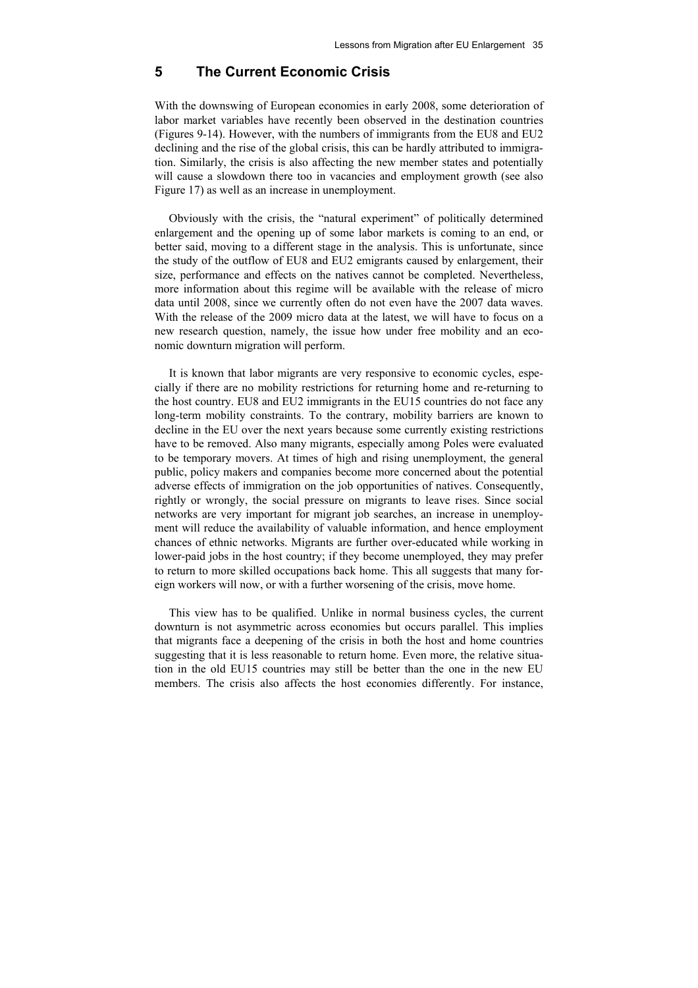## **5 The Current Economic Crisis**

With the downswing of European economies in early 2008, some deterioration of labor market variables have recently been observed in the destination countries (Figures 9-14). However, with the numbers of immigrants from the EU8 and EU2 declining and the rise of the global crisis, this can be hardly attributed to immigration. Similarly, the crisis is also affecting the new member states and potentially will cause a slowdown there too in vacancies and employment growth (see also Figure 17) as well as an increase in unemployment.

Obviously with the crisis, the "natural experiment" of politically determined enlargement and the opening up of some labor markets is coming to an end, or better said, moving to a different stage in the analysis. This is unfortunate, since the study of the outflow of EU8 and EU2 emigrants caused by enlargement, their size, performance and effects on the natives cannot be completed. Nevertheless, more information about this regime will be available with the release of micro data until 2008, since we currently often do not even have the 2007 data waves. With the release of the 2009 micro data at the latest, we will have to focus on a new research question, namely, the issue how under free mobility and an economic downturn migration will perform.

It is known that labor migrants are very responsive to economic cycles, especially if there are no mobility restrictions for returning home and re-returning to the host country. EU8 and EU2 immigrants in the EU15 countries do not face any long-term mobility constraints. To the contrary, mobility barriers are known to decline in the EU over the next years because some currently existing restrictions have to be removed. Also many migrants, especially among Poles were evaluated to be temporary movers. At times of high and rising unemployment, the general public, policy makers and companies become more concerned about the potential adverse effects of immigration on the job opportunities of natives. Consequently, rightly or wrongly, the social pressure on migrants to leave rises. Since social networks are very important for migrant job searches, an increase in unemployment will reduce the availability of valuable information, and hence employment chances of ethnic networks. Migrants are further over-educated while working in lower-paid jobs in the host country; if they become unemployed, they may prefer to return to more skilled occupations back home. This all suggests that many foreign workers will now, or with a further worsening of the crisis, move home.

This view has to be qualified. Unlike in normal business cycles, the current downturn is not asymmetric across economies but occurs parallel. This implies that migrants face a deepening of the crisis in both the host and home countries suggesting that it is less reasonable to return home. Even more, the relative situation in the old EU15 countries may still be better than the one in the new EU members. The crisis also affects the host economies differently. For instance,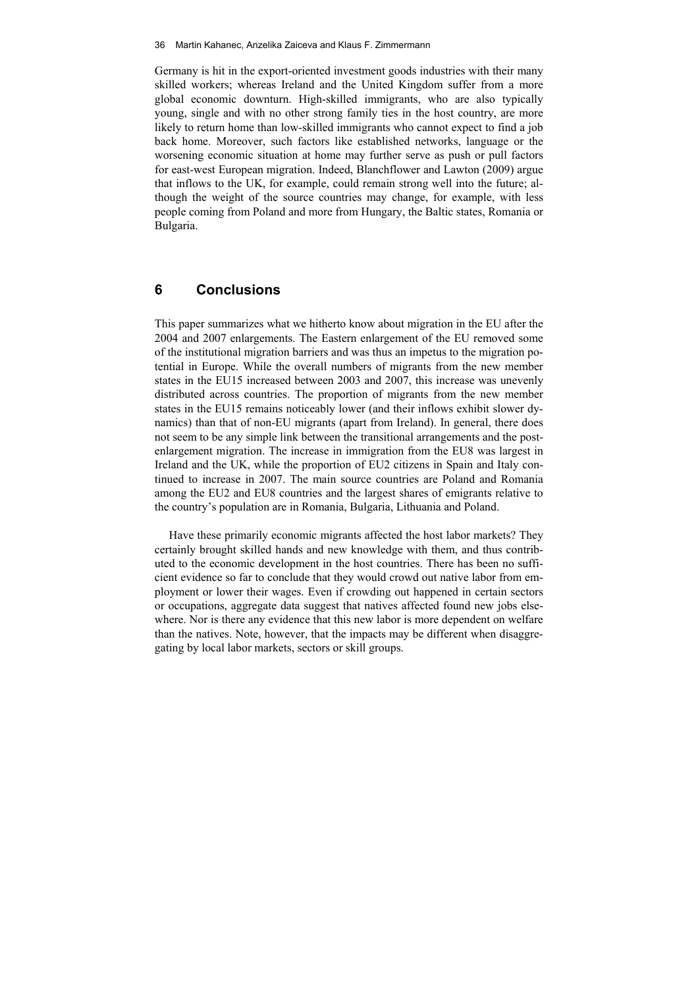Germany is hit in the export-oriented investment goods industries with their many skilled workers; whereas Ireland and the United Kingdom suffer from a more global economic downturn. High-skilled immigrants, who are also typically young, single and with no other strong family ties in the host country, are more likely to return home than low-skilled immigrants who cannot expect to find a job back home. Moreover, such factors like established networks, language or the worsening economic situation at home may further serve as push or pull factors for east-west European migration. Indeed, Blanchflower and Lawton (2009) argue that inflows to the UK, for example, could remain strong well into the future; although the weight of the source countries may change, for example, with less people coming from Poland and more from Hungary, the Baltic states, Romania or Bulgaria.

### **6 Conclusions**

This paper summarizes what we hitherto know about migration in the EU after the 2004 and 2007 enlargements. The Eastern enlargement of the EU removed some of the institutional migration barriers and was thus an impetus to the migration potential in Europe. While the overall numbers of migrants from the new member states in the EU15 increased between 2003 and 2007, this increase was unevenly distributed across countries. The proportion of migrants from the new member states in the EU15 remains noticeably lower (and their inflows exhibit slower dynamics) than that of non-EU migrants (apart from Ireland). In general, there does not seem to be any simple link between the transitional arrangements and the postenlargement migration. The increase in immigration from the EU8 was largest in Ireland and the UK, while the proportion of EU2 citizens in Spain and Italy continued to increase in 2007. The main source countries are Poland and Romania among the EU2 and EU8 countries and the largest shares of emigrants relative to the country's population are in Romania, Bulgaria, Lithuania and Poland.

Have these primarily economic migrants affected the host labor markets? They certainly brought skilled hands and new knowledge with them, and thus contributed to the economic development in the host countries. There has been no sufficient evidence so far to conclude that they would crowd out native labor from employment or lower their wages. Even if crowding out happened in certain sectors or occupations, aggregate data suggest that natives affected found new jobs elsewhere. Nor is there any evidence that this new labor is more dependent on welfare than the natives. Note, however, that the impacts may be different when disaggregating by local labor markets, sectors or skill groups.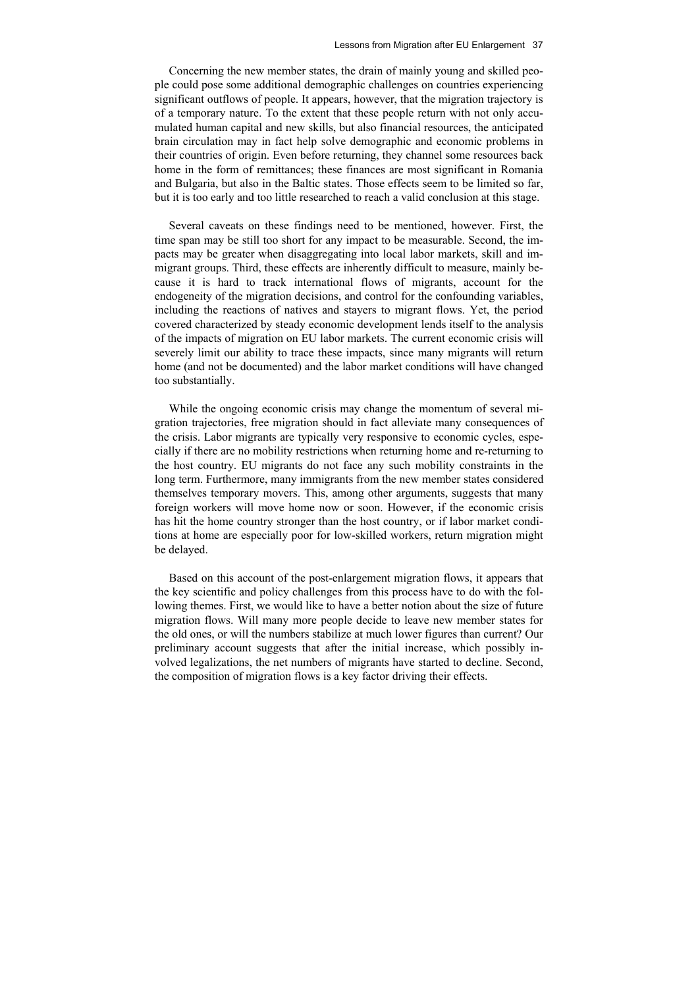Concerning the new member states, the drain of mainly young and skilled people could pose some additional demographic challenges on countries experiencing significant outflows of people. It appears, however, that the migration trajectory is of a temporary nature. To the extent that these people return with not only accumulated human capital and new skills, but also financial resources, the anticipated brain circulation may in fact help solve demographic and economic problems in their countries of origin. Even before returning, they channel some resources back home in the form of remittances; these finances are most significant in Romania and Bulgaria, but also in the Baltic states. Those effects seem to be limited so far, but it is too early and too little researched to reach a valid conclusion at this stage.

Several caveats on these findings need to be mentioned, however. First, the time span may be still too short for any impact to be measurable. Second, the impacts may be greater when disaggregating into local labor markets, skill and immigrant groups. Third, these effects are inherently difficult to measure, mainly because it is hard to track international flows of migrants, account for the endogeneity of the migration decisions, and control for the confounding variables, including the reactions of natives and stayers to migrant flows. Yet, the period covered characterized by steady economic development lends itself to the analysis of the impacts of migration on EU labor markets. The current economic crisis will severely limit our ability to trace these impacts, since many migrants will return home (and not be documented) and the labor market conditions will have changed too substantially.

While the ongoing economic crisis may change the momentum of several migration trajectories, free migration should in fact alleviate many consequences of the crisis. Labor migrants are typically very responsive to economic cycles, especially if there are no mobility restrictions when returning home and re-returning to the host country. EU migrants do not face any such mobility constraints in the long term. Furthermore, many immigrants from the new member states considered themselves temporary movers. This, among other arguments, suggests that many foreign workers will move home now or soon. However, if the economic crisis has hit the home country stronger than the host country, or if labor market conditions at home are especially poor for low-skilled workers, return migration might be delayed.

Based on this account of the post-enlargement migration flows, it appears that the key scientific and policy challenges from this process have to do with the following themes. First, we would like to have a better notion about the size of future migration flows. Will many more people decide to leave new member states for the old ones, or will the numbers stabilize at much lower figures than current? Our preliminary account suggests that after the initial increase, which possibly involved legalizations, the net numbers of migrants have started to decline. Second, the composition of migration flows is a key factor driving their effects.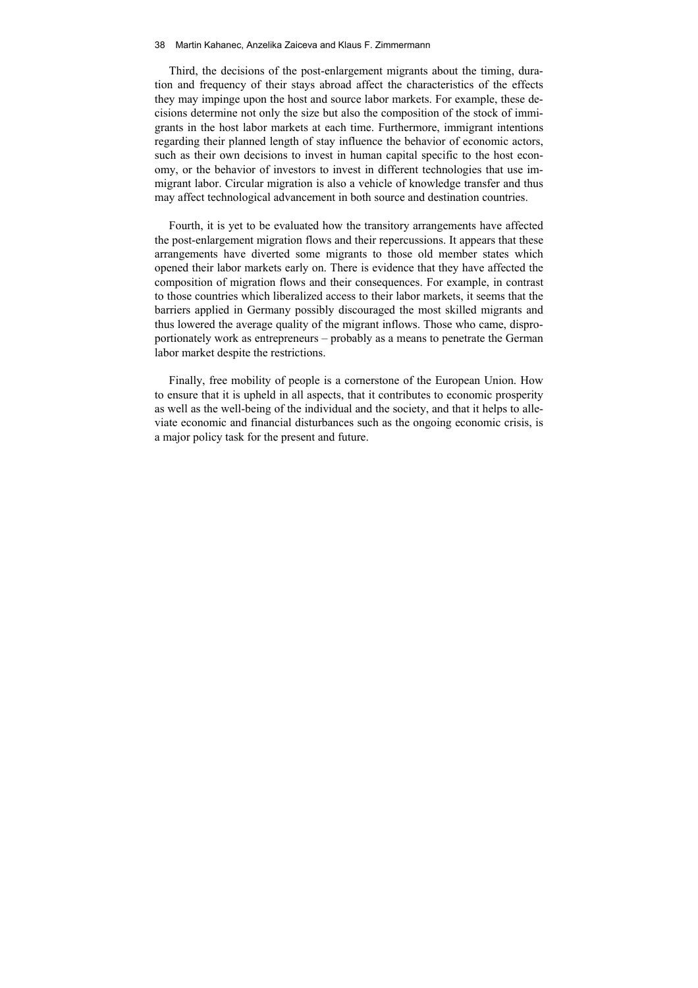Third, the decisions of the post-enlargement migrants about the timing, duration and frequency of their stays abroad affect the characteristics of the effects they may impinge upon the host and source labor markets. For example, these decisions determine not only the size but also the composition of the stock of immigrants in the host labor markets at each time. Furthermore, immigrant intentions regarding their planned length of stay influence the behavior of economic actors, such as their own decisions to invest in human capital specific to the host economy, or the behavior of investors to invest in different technologies that use immigrant labor. Circular migration is also a vehicle of knowledge transfer and thus may affect technological advancement in both source and destination countries.

Fourth, it is yet to be evaluated how the transitory arrangements have affected the post-enlargement migration flows and their repercussions. It appears that these arrangements have diverted some migrants to those old member states which opened their labor markets early on. There is evidence that they have affected the composition of migration flows and their consequences. For example, in contrast to those countries which liberalized access to their labor markets, it seems that the barriers applied in Germany possibly discouraged the most skilled migrants and thus lowered the average quality of the migrant inflows. Those who came, disproportionately work as entrepreneurs – probably as a means to penetrate the German labor market despite the restrictions.

Finally, free mobility of people is a cornerstone of the European Union. How to ensure that it is upheld in all aspects, that it contributes to economic prosperity as well as the well-being of the individual and the society, and that it helps to alleviate economic and financial disturbances such as the ongoing economic crisis, is a major policy task for the present and future.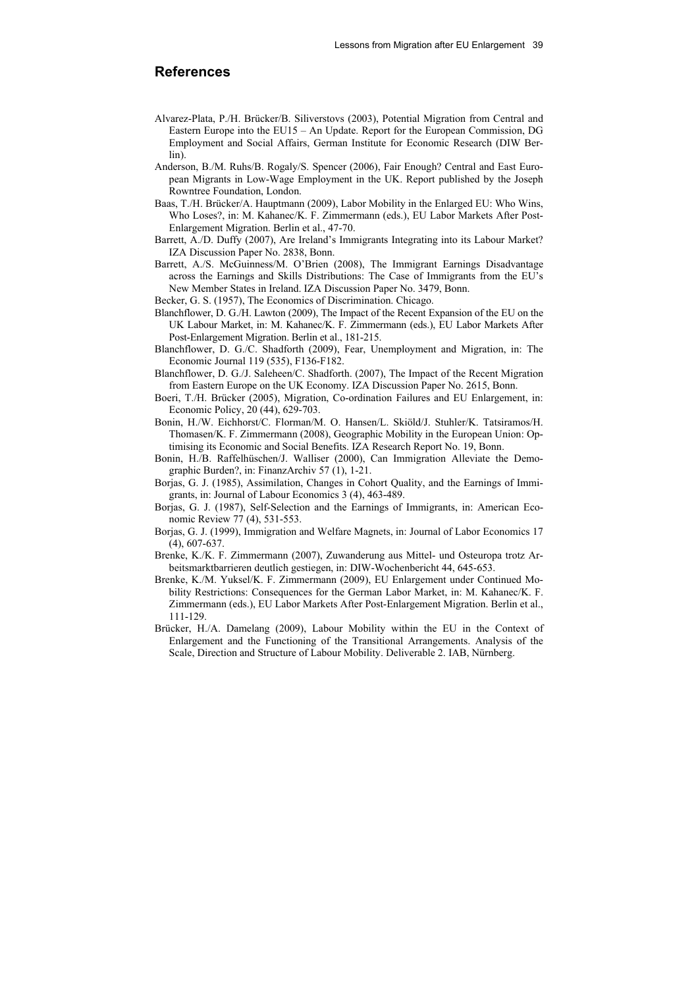## **References**

- Alvarez-Plata, P./H. Brücker/B. Siliverstovs (2003), Potential Migration from Central and Eastern Europe into the EU15 – An Update. Report for the European Commission, DG Employment and Social Affairs, German Institute for Economic Research (DIW Berlin).
- Anderson, B./M. Ruhs/B. Rogaly/S. Spencer (2006), Fair Enough? Central and East European Migrants in Low-Wage Employment in the UK. Report published by the Joseph Rowntree Foundation, London.
- Baas, T./H. Brücker/A. Hauptmann (2009), Labor Mobility in the Enlarged EU: Who Wins, Who Loses?, in: M. Kahanec/K. F. Zimmermann (eds.), EU Labor Markets After Post-Enlargement Migration. Berlin et al., 47-70.
- Barrett, A./D. Duffy (2007), Are Ireland's Immigrants Integrating into its Labour Market? IZA Discussion Paper No. 2838, Bonn.
- Barrett, A./S. McGuinness/M. O'Brien (2008), The Immigrant Earnings Disadvantage across the Earnings and Skills Distributions: The Case of Immigrants from the EU's New Member States in Ireland. IZA Discussion Paper No. 3479, Bonn.
- Becker, G. S. (1957), The Economics of Discrimination. Chicago.
- Blanchflower, D. G./H. Lawton (2009), The Impact of the Recent Expansion of the EU on the UK Labour Market, in: M. Kahanec/K. F. Zimmermann (eds.), EU Labor Markets After Post-Enlargement Migration. Berlin et al., 181-215.
- Blanchflower, D. G./C. Shadforth (2009), Fear, Unemployment and Migration, in: The Economic Journal 119 (535), F136-F182.
- Blanchflower, D. G./J. Saleheen/C. Shadforth. (2007), The Impact of the Recent Migration from Eastern Europe on the UK Economy. IZA Discussion Paper No. 2615, Bonn.
- Boeri, T./H. Brücker (2005), Migration, Co-ordination Failures and EU Enlargement, in: Economic Policy, 20 (44), 629-703.
- Bonin, H./W. Eichhorst/C. Florman/M. O. Hansen/L. Skiöld/J. Stuhler/K. Tatsiramos/H. Thomasen/K. F. Zimmermann (2008), Geographic Mobility in the European Union: Optimising its Economic and Social Benefits. IZA Research Report No. 19, Bonn.
- Bonin, H./B. Raffelhüschen/J. Walliser (2000), Can Immigration Alleviate the Demographic Burden?, in: FinanzArchiv 57 (1), 1-21.
- Borjas, G. J. (1985), Assimilation, Changes in Cohort Quality, and the Earnings of Immigrants, in: Journal of Labour Economics 3 (4), 463-489.
- Borjas, G. J. (1987), Self-Selection and the Earnings of Immigrants, in: American Economic Review 77 (4), 531-553.
- Borjas, G. J. (1999), Immigration and Welfare Magnets, in: Journal of Labor Economics 17 (4), 607-637.
- Brenke, K./K. F. Zimmermann (2007), Zuwanderung aus Mittel- und Osteuropa trotz Arbeitsmarktbarrieren deutlich gestiegen, in: DIW-Wochenbericht 44, 645-653.
- Brenke, K./M. Yuksel/K. F. Zimmermann (2009), EU Enlargement under Continued Mobility Restrictions: Consequences for the German Labor Market, in: M. Kahanec/K. F. Zimmermann (eds.), EU Labor Markets After Post-Enlargement Migration. Berlin et al., 111-129.
- Brücker, H./A. Damelang (2009), Labour Mobility within the EU in the Context of Enlargement and the Functioning of the Transitional Arrangements. Analysis of the Scale, Direction and Structure of Labour Mobility. Deliverable 2. IAB, Nürnberg.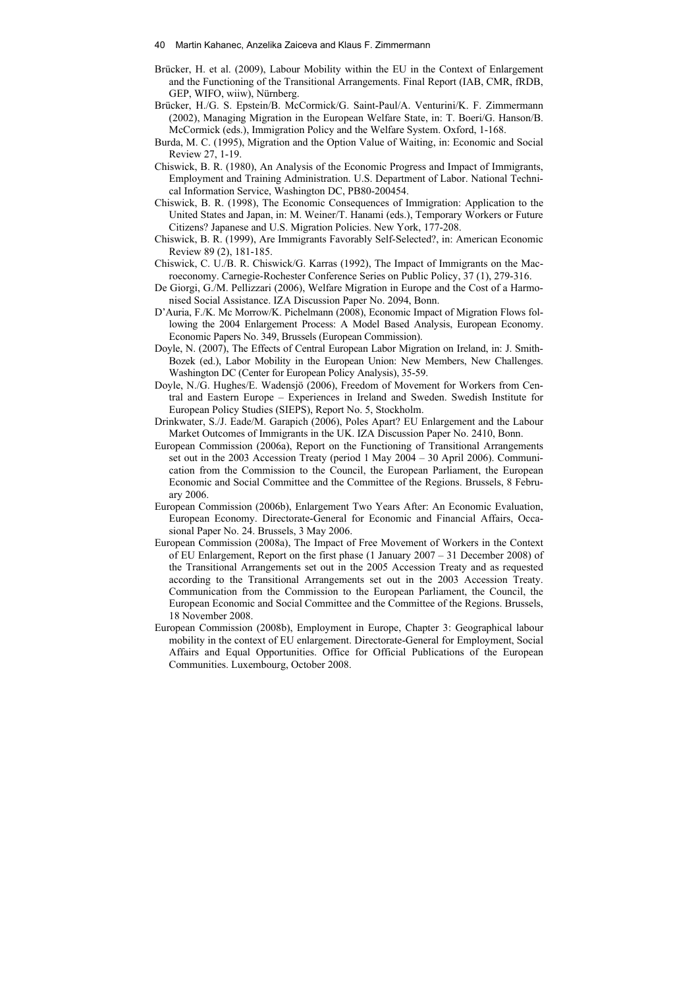- 40 Martin Kahanec, Anzelika Zaiceva and Klaus F. Zimmermann
- Brücker, H. et al. (2009), Labour Mobility within the EU in the Context of Enlargement and the Functioning of the Transitional Arrangements. Final Report (IAB, CMR, fRDB, GEP, WIFO, wiiw), Nürnberg.
- Brücker, H./G. S. Epstein/B. McCormick/G. Saint-Paul/A. Venturini/K. F. Zimmermann (2002), Managing Migration in the European Welfare State, in: T. Boeri/G. Hanson/B. McCormick (eds.), Immigration Policy and the Welfare System. Oxford, 1-168.
- Burda, M. C. (1995), Migration and the Option Value of Waiting, in: Economic and Social Review 27, 1-19.
- Chiswick, B. R. (1980), An Analysis of the Economic Progress and Impact of Immigrants, Employment and Training Administration. U.S. Department of Labor. National Technical Information Service, Washington DC, PB80-200454.
- Chiswick, B. R. (1998), The Economic Consequences of Immigration: Application to the United States and Japan, in: M. Weiner/T. Hanami (eds.), Temporary Workers or Future Citizens? Japanese and U.S. Migration Policies. New York, 177-208.
- Chiswick, B. R. (1999), Are Immigrants Favorably Self-Selected?, in: American Economic Review 89 (2), 181-185.
- Chiswick, C. U./B. R. Chiswick/G. Karras (1992), The Impact of Immigrants on the Macroeconomy. Carnegie-Rochester Conference Series on Public Policy, 37 (1), 279-316.
- De Giorgi, G./M. Pellizzari (2006), Welfare Migration in Europe and the Cost of a Harmonised Social Assistance. IZA Discussion Paper No. 2094, Bonn.
- D'Auria, F./K. Mc Morrow/K. Pichelmann (2008), Economic Impact of Migration Flows following the 2004 Enlargement Process: A Model Based Analysis, European Economy. Economic Papers No. 349, Brussels (European Commission).
- Doyle, N. (2007), The Effects of Central European Labor Migration on Ireland, in: J. Smith-Bozek (ed.), Labor Mobility in the European Union: New Members, New Challenges. Washington DC (Center for European Policy Analysis), 35-59.
- Doyle, N./G. Hughes/E. Wadensjö (2006), Freedom of Movement for Workers from Central and Eastern Europe – Experiences in Ireland and Sweden. Swedish Institute for European Policy Studies (SIEPS), Report No. 5, Stockholm.
- Drinkwater, S./J. Eade/M. Garapich (2006), Poles Apart? EU Enlargement and the Labour Market Outcomes of Immigrants in the UK. IZA Discussion Paper No. 2410, Bonn.
- European Commission (2006a), Report on the Functioning of Transitional Arrangements set out in the 2003 Accession Treaty (period 1 May 2004 – 30 April 2006). Communication from the Commission to the Council, the European Parliament, the European Economic and Social Committee and the Committee of the Regions. Brussels, 8 February 2006.
- European Commission (2006b), Enlargement Two Years After: An Economic Evaluation, European Economy. Directorate-General for Economic and Financial Affairs, Occasional Paper No. 24. Brussels, 3 May 2006.
- European Commission (2008a), The Impact of Free Movement of Workers in the Context of EU Enlargement, Report on the first phase (1 January 2007 – 31 December 2008) of the Transitional Arrangements set out in the 2005 Accession Treaty and as requested according to the Transitional Arrangements set out in the 2003 Accession Treaty. Communication from the Commission to the European Parliament, the Council, the European Economic and Social Committee and the Committee of the Regions. Brussels, 18 November 2008.
- European Commission (2008b), Employment in Europe, Chapter 3: Geographical labour mobility in the context of EU enlargement. Directorate-General for Employment, Social Affairs and Equal Opportunities. Office for Official Publications of the European Communities. Luxembourg, October 2008.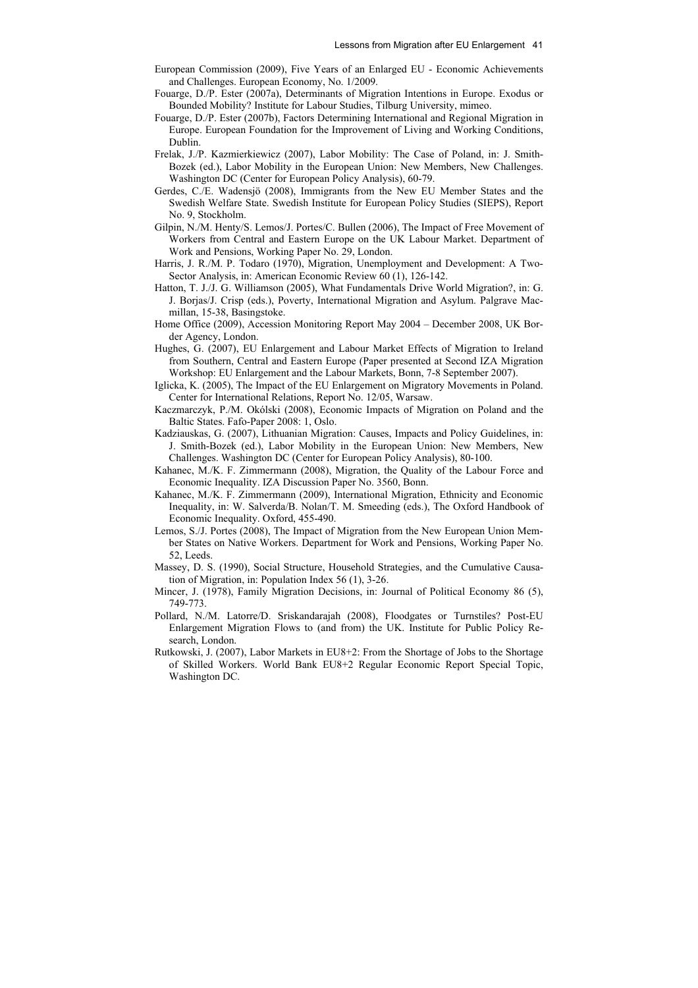- European Commission (2009), Five Years of an Enlarged EU Economic Achievements and Challenges. European Economy, No. 1/2009.
- Fouarge, D./P. Ester (2007a), Determinants of Migration Intentions in Europe. Exodus or Bounded Mobility? Institute for Labour Studies, Tilburg University, mimeo.
- Fouarge, D./P. Ester (2007b), Factors Determining International and Regional Migration in Europe. European Foundation for the Improvement of Living and Working Conditions, Dublin.
- Frelak, J./P. Kazmierkiewicz (2007), Labor Mobility: The Case of Poland, in: J. Smith-Bozek (ed.), Labor Mobility in the European Union: New Members, New Challenges. Washington DC (Center for European Policy Analysis), 60-79.
- Gerdes, C./E. Wadensjö (2008), Immigrants from the New EU Member States and the Swedish Welfare State. Swedish Institute for European Policy Studies (SIEPS), Report No. 9, Stockholm.
- Gilpin, N./M. Henty/S. Lemos/J. Portes/C. Bullen (2006), The Impact of Free Movement of Workers from Central and Eastern Europe on the UK Labour Market. Department of Work and Pensions, Working Paper No. 29, London.
- Harris, J. R./M. P. Todaro (1970), Migration, Unemployment and Development: A Two-Sector Analysis, in: American Economic Review 60 (1), 126-142.
- Hatton, T. J./J. G. Williamson (2005), What Fundamentals Drive World Migration?, in: G. J. Borjas/J. Crisp (eds.), Poverty, International Migration and Asylum. Palgrave Macmillan, 15-38, Basingstoke.
- Home Office (2009), Accession Monitoring Report May 2004 December 2008, UK Border Agency, London.
- Hughes, G. (2007), EU Enlargement and Labour Market Effects of Migration to Ireland from Southern, Central and Eastern Europe (Paper presented at Second IZA Migration Workshop: EU Enlargement and the Labour Markets, Bonn, 7-8 September 2007).
- Iglicka, K. (2005), The Impact of the EU Enlargement on Migratory Movements in Poland. Center for International Relations, Report No. 12/05, Warsaw.
- Kaczmarczyk, P./M. Okólski (2008), Economic Impacts of Migration on Poland and the Baltic States. Fafo-Paper 2008: 1, Oslo.
- Kadziauskas, G. (2007), Lithuanian Migration: Causes, Impacts and Policy Guidelines, in: J. Smith-Bozek (ed.), Labor Mobility in the European Union: New Members, New Challenges. Washington DC (Center for European Policy Analysis), 80-100.
- Kahanec, M./K. F. Zimmermann (2008), Migration, the Quality of the Labour Force and Economic Inequality. IZA Discussion Paper No. 3560, Bonn.
- Kahanec, M./K. F. Zimmermann (2009), International Migration, Ethnicity and Economic Inequality, in: W. Salverda/B. Nolan/T. M. Smeeding (eds.), The Oxford Handbook of Economic Inequality. Oxford, 455-490.
- Lemos, S./J. Portes (2008), The Impact of Migration from the New European Union Member States on Native Workers. Department for Work and Pensions, Working Paper No. 52, Leeds.
- Massey, D. S. (1990), Social Structure, Household Strategies, and the Cumulative Causation of Migration, in: Population Index 56 (1), 3-26.
- Mincer, J. (1978), Family Migration Decisions, in: Journal of Political Economy 86 (5), 749-773.
- Pollard, N./M. Latorre/D. Sriskandarajah (2008), Floodgates or Turnstiles? Post-EU Enlargement Migration Flows to (and from) the UK. Institute for Public Policy Research, London.
- Rutkowski, J. (2007), Labor Markets in EU8+2: From the Shortage of Jobs to the Shortage of Skilled Workers. World Bank EU8+2 Regular Economic Report Special Topic, Washington DC.